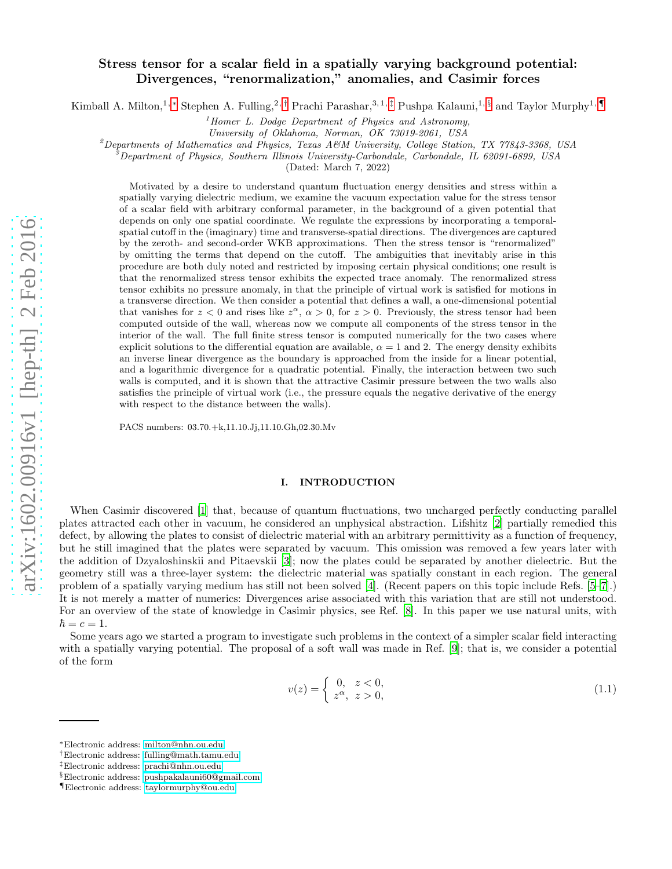# Stress tensor for a scalar field in a spatially varying background potential: Divergences, "renormalization," anomalies, and Casimir forces

Kimball A. Milton,<sup>1,\*</sup> Stephen A. Fulling,<sup>2,[†](#page-0-1)</sup> Prachi Parashar,<sup>3,1,[‡](#page-0-2)</sup> Pushpa Kalauni,<sup>1, [§](#page-0-3)</sup> and Taylor Murphy<sup>1,</sup>

<sup>1</sup>Homer L. Dodge Department of Physics and Astronomy,

University of Oklahoma, Norman, OK 73019-2061, USA

 $^{2}$ Departments of Mathematics and Physics, Texas A&M University, College Station, TX 77843-3368, USA

<sup>3</sup>Department of Physics, Southern Illinois University-Carbondale, Carbondale, IL 62091-6899, USA

(Dated: March 7, 2022)

Motivated by a desire to understand quantum fluctuation energy densities and stress within a spatially varying dielectric medium, we examine the vacuum expectation value for the stress tensor of a scalar field with arbitrary conformal parameter, in the background of a given potential that depends on only one spatial coordinate. We regulate the expressions by incorporating a temporalspatial cutoff in the (imaginary) time and transverse-spatial directions. The divergences are captured by the zeroth- and second-order WKB approximations. Then the stress tensor is "renormalized" by omitting the terms that depend on the cutoff. The ambiguities that inevitably arise in this procedure are both duly noted and restricted by imposing certain physical conditions; one result is that the renormalized stress tensor exhibits the expected trace anomaly. The renormalized stress tensor exhibits no pressure anomaly, in that the principle of virtual work is satisfied for motions in a transverse direction. We then consider a potential that defines a wall, a one-dimensional potential that vanishes for  $z < 0$  and rises like  $z^{\alpha}$ ,  $\alpha > 0$ , for  $z > 0$ . Previously, the stress tensor had been computed outside of the wall, whereas now we compute all components of the stress tensor in the interior of the wall. The full finite stress tensor is computed numerically for the two cases where explicit solutions to the differential equation are available,  $\alpha = 1$  and 2. The energy density exhibits an inverse linear divergence as the boundary is approached from the inside for a linear potential, and a logarithmic divergence for a quadratic potential. Finally, the interaction between two such walls is computed, and it is shown that the attractive Casimir pressure between the two walls also satisfies the principle of virtual work (i.e., the pressure equals the negative derivative of the energy with respect to the distance between the walls).

PACS numbers: 03.70.+k,11.10.Jj,11.10.Gh,02.30.Mv

## I. INTRODUCTION

When Casimir discovered [\[1\]](#page-18-0) that, because of quantum fluctuations, two uncharged perfectly conducting parallel plates attracted each other in vacuum, he considered an unphysical abstraction. Lifshitz [\[2\]](#page-18-1) partially remedied this defect, by allowing the plates to consist of dielectric material with an arbitrary permittivity as a function of frequency, but he still imagined that the plates were separated by vacuum. This omission was removed a few years later with the addition of Dzyaloshinskii and Pitaevskii [\[3\]](#page-18-2); now the plates could be separated by another dielectric. But the geometry still was a three-layer system: the dielectric material was spatially constant in each region. The general problem of a spatially varying medium has still not been solved [\[4](#page-18-3)]. (Recent papers on this topic include Refs. [\[5](#page-18-4)[–7\]](#page-18-5).) It is not merely a matter of numerics: Divergences arise associated with this variation that are still not understood. For an overview of the state of knowledge in Casimir physics, see Ref. [\[8\]](#page-18-6). In this paper we use natural units, with  $\hbar = c = 1.$ 

Some years ago we started a program to investigate such problems in the context of a simpler scalar field interacting with a spatially varying potential. The proposal of a soft wall was made in Ref. [\[9\]](#page-18-7); that is, we consider a potential of the form

$$
v(z) = \begin{cases} 0, & z < 0, \\ z^{\alpha}, & z > 0, \end{cases}
$$
 (1.1)

<span id="page-0-0"></span><sup>∗</sup>Electronic address: [milton@nhn.ou.edu](mailto:milton@nhn.ou.edu)

<span id="page-0-1"></span><sup>†</sup>Electronic address: [fulling@math.tamu.edu](mailto:fulling@math.tamu.edu)

<span id="page-0-2"></span><sup>‡</sup>Electronic address: [prachi@nhn.ou.edu](mailto:prachi@nhn.ou.edu)

<span id="page-0-3"></span><sup>§</sup>Electronic address: [pushpakalauni60@gmail.com](mailto:pushpakalauni60@gmail.com)

<span id="page-0-4"></span><sup>¶</sup>Electronic address: [taylormurphy@ou.edu](mailto:taylormurphy@ou.edu)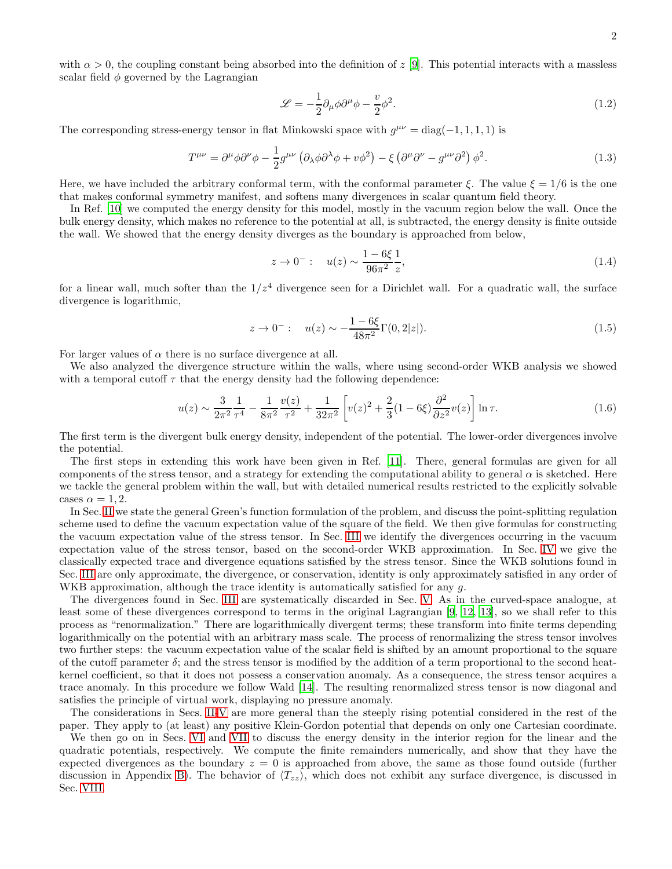with  $\alpha > 0$ , the coupling constant being absorbed into the definition of z [\[9\]](#page-18-7). This potential interacts with a massless scalar field  $\phi$  governed by the Lagrangian

$$
\mathcal{L} = -\frac{1}{2}\partial_{\mu}\phi\partial^{\mu}\phi - \frac{v}{2}\phi^{2}.
$$
\n(1.2)

The corresponding stress-energy tensor in flat Minkowski space with  $g^{\mu\nu} = \text{diag}(-1, 1, 1, 1)$  is

<span id="page-1-1"></span>
$$
T^{\mu\nu} = \partial^{\mu}\phi\partial^{\nu}\phi - \frac{1}{2}g^{\mu\nu}\left(\partial_{\lambda}\phi\partial^{\lambda}\phi + v\phi^{2}\right) - \xi\left(\partial^{\mu}\partial^{\nu} - g^{\mu\nu}\partial^{2}\right)\phi^{2}.
$$
 (1.3)

Here, we have included the arbitrary conformal term, with the conformal parameter  $\xi$ . The value  $\xi = 1/6$  is the one that makes conformal symmetry manifest, and softens many divergences in scalar quantum field theory.

In Ref. [\[10\]](#page-18-8) we computed the energy density for this model, mostly in the vacuum region below the wall. Once the bulk energy density, which makes no reference to the potential at all, is subtracted, the energy density is finite outside the wall. We showed that the energy density diverges as the boundary is approached from below,

<span id="page-1-2"></span>
$$
z \to 0^-
$$
:  $u(z) \sim \frac{1 - 6\xi}{96\pi^2} \frac{1}{z},$  (1.4)

for a linear wall, much softer than the  $1/z<sup>4</sup>$  divergence seen for a Dirichlet wall. For a quadratic wall, the surface divergence is logarithmic,

<span id="page-1-3"></span>
$$
z \to 0^-
$$
:  $u(z) \sim -\frac{1-6\xi}{48\pi^2} \Gamma(0,2|z|).$  (1.5)

For larger values of  $\alpha$  there is no surface divergence at all.

We also analyzed the divergence structure within the walls, where using second-order WKB analysis we showed with a temporal cutoff  $\tau$  that the energy density had the following dependence:

<span id="page-1-0"></span>
$$
u(z) \sim \frac{3}{2\pi^2} \frac{1}{\tau^4} - \frac{1}{8\pi^2} \frac{v(z)}{\tau^2} + \frac{1}{32\pi^2} \left[ v(z)^2 + \frac{2}{3} (1 - 6\xi) \frac{\partial^2}{\partial z^2} v(z) \right] \ln \tau.
$$
 (1.6)

The first term is the divergent bulk energy density, independent of the potential. The lower-order divergences involve the potential.

The first steps in extending this work have been given in Ref. [\[11\]](#page-18-9). There, general formulas are given for all components of the stress tensor, and a strategy for extending the computational ability to general  $\alpha$  is sketched. Here we tackle the general problem within the wall, but with detailed numerical results restricted to the explicitly solvable cases  $\alpha = 1, 2$ .

In Sec. [II](#page-2-0) we state the general Green's function formulation of the problem, and discuss the point-splitting regulation scheme used to define the vacuum expectation value of the square of the field. We then give formulas for constructing the vacuum expectation value of the stress tensor. In Sec. [III](#page-3-0) we identify the divergences occurring in the vacuum expectation value of the stress tensor, based on the second-order WKB approximation. In Sec. [IV](#page-4-0) we give the classically expected trace and divergence equations satisfied by the stress tensor. Since the WKB solutions found in Sec. [III](#page-3-0) are only approximate, the divergence, or conservation, identity is only approximately satisfied in any order of WKB approximation, although the trace identity is automatically satisfied for any g.

The divergences found in Sec. [III](#page-3-0) are systematically discarded in Sec. [V.](#page-5-0) As in the curved-space analogue, at least some of these divergences correspond to terms in the original Lagrangian [\[9,](#page-18-7) [12](#page-18-10), [13\]](#page-18-11), so we shall refer to this process as "renormalization." There are logarithmically divergent terms; these transform into finite terms depending logarithmically on the potential with an arbitrary mass scale. The process of renormalizing the stress tensor involves two further steps: the vacuum expectation value of the scalar field is shifted by an amount proportional to the square of the cutoff parameter  $\delta$ ; and the stress tensor is modified by the addition of a term proportional to the second heatkernel coefficient, so that it does not possess a conservation anomaly. As a consequence, the stress tensor acquires a trace anomaly. In this procedure we follow Wald [\[14\]](#page-18-12). The resulting renormalized stress tensor is now diagonal and satisfies the principle of virtual work, displaying no pressure anomaly.

The considerations in Secs. [II](#page-2-0)[-V](#page-5-0) are more general than the steeply rising potential considered in the rest of the paper. They apply to (at least) any positive Klein-Gordon potential that depends on only one Cartesian coordinate.

We then go on in Secs. [VI](#page-7-0) and [VII](#page-9-0) to discuss the energy density in the interior region for the linear and the quadratic potentials, respectively. We compute the finite remainders numerically, and show that they have the expected divergences as the boundary  $z = 0$  is approached from above, the same as those found outside (further discussion in Appendix [B\)](#page-15-0). The behavior of  $\langle T_{zz} \rangle$ , which does not exhibit any surface divergence, is discussed in Sec. [VIII.](#page-10-0)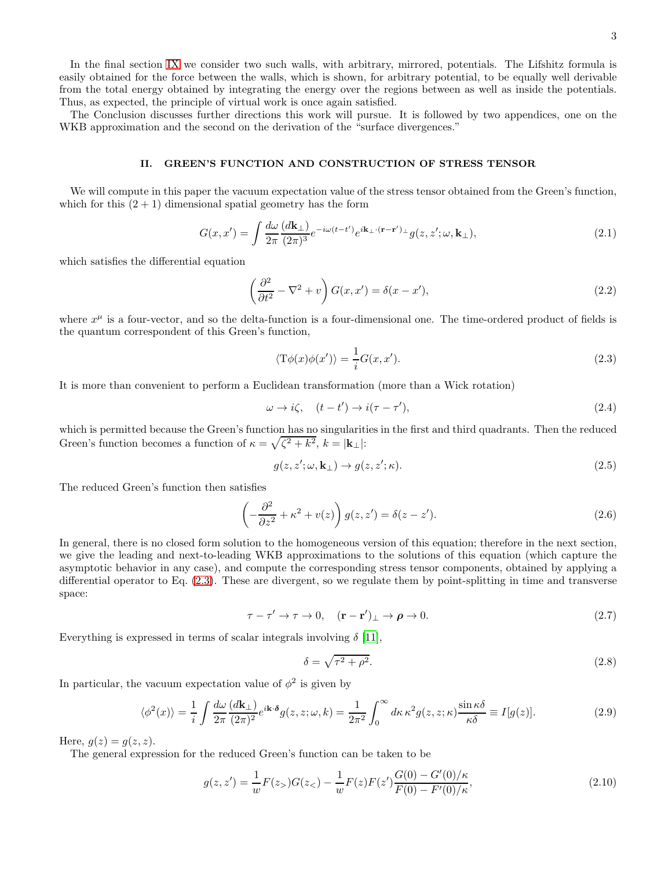In the final section [IX](#page-11-0) we consider two such walls, with arbitrary, mirrored, potentials. The Lifshitz formula is easily obtained for the force between the walls, which is shown, for arbitrary potential, to be equally well derivable from the total energy obtained by integrating the energy over the regions between as well as inside the potentials. Thus, as expected, the principle of virtual work is once again satisfied.

The Conclusion discusses further directions this work will pursue. It is followed by two appendices, one on the WKB approximation and the second on the derivation of the "surface divergences."

## <span id="page-2-0"></span>II. GREEN'S FUNCTION AND CONSTRUCTION OF STRESS TENSOR

We will compute in this paper the vacuum expectation value of the stress tensor obtained from the Green's function, which for this  $(2 + 1)$  dimensional spatial geometry has the form

$$
G(x, x') = \int \frac{d\omega}{2\pi} \frac{(d\mathbf{k}_{\perp})}{(2\pi)^3} e^{-i\omega(t - t')} e^{i\mathbf{k}_{\perp} \cdot (\mathbf{r} - \mathbf{r}')_{\perp}} g(z, z'; \omega, \mathbf{k}_{\perp}),
$$
\n(2.1)

which satisfies the differential equation

$$
\left(\frac{\partial^2}{\partial t^2} - \nabla^2 + v\right) G(x, x') = \delta(x - x'),\tag{2.2}
$$

where  $x^{\mu}$  is a four-vector, and so the delta-function is a four-dimensional one. The time-ordered product of fields is the quantum correspondent of this Green's function,

<span id="page-2-1"></span>
$$
\langle \mathcal{T}\phi(x)\phi(x')\rangle = \frac{1}{i}G(x,x').\tag{2.3}
$$

It is more than convenient to perform a Euclidean transformation (more than a Wick rotation)

$$
\omega \to i\zeta, \quad (t - t') \to i(\tau - \tau'), \tag{2.4}
$$

which is permitted because the Green's function has no singularities in the first and third quadrants. Then the reduced Green's function becomes a function of  $\kappa = \sqrt{\zeta^2 + k^2}$ ,  $k = |\mathbf{k}_{\perp}|$ :

$$
g(z, z'; \omega, \mathbf{k}_{\perp}) \to g(z, z'; \kappa). \tag{2.5}
$$

The reduced Green's function then satisfies

$$
\left(-\frac{\partial^2}{\partial z^2} + \kappa^2 + v(z)\right)g(z, z') = \delta(z - z').\tag{2.6}
$$

In general, there is no closed form solution to the homogeneous version of this equation; therefore in the next section, we give the leading and next-to-leading WKB approximations to the solutions of this equation (which capture the asymptotic behavior in any case), and compute the corresponding stress tensor components, obtained by applying a differential operator to Eq. [\(2.3\)](#page-2-1). These are divergent, so we regulate them by point-splitting in time and transverse space:

$$
\tau - \tau' \to \tau \to 0, \quad (\mathbf{r} - \mathbf{r}') \perp \to \boldsymbol{\rho} \to 0. \tag{2.7}
$$

Everything is expressed in terms of scalar integrals involving  $\delta$  [\[11\]](#page-18-9),

$$
\delta = \sqrt{\tau^2 + \rho^2}.\tag{2.8}
$$

In particular, the vacuum expectation value of  $\phi^2$  is given by

<span id="page-2-2"></span>
$$
\langle \phi^2(x) \rangle = \frac{1}{i} \int \frac{d\omega}{2\pi} \frac{(d\mathbf{k}_\perp)}{(2\pi)^2} e^{i\mathbf{k} \cdot \mathbf{\delta}} g(z, z; \omega, k) = \frac{1}{2\pi^2} \int_0^\infty d\kappa \,\kappa^2 g(z, z; \kappa) \frac{\sin \kappa \delta}{\kappa \delta} \equiv I[g(z)].\tag{2.9}
$$

Here,  $q(z) = q(z, z)$ .

The general expression for the reduced Green's function can be taken to be

<span id="page-2-3"></span>
$$
g(z, z') = \frac{1}{w} F(z_{>} ) G(z_{<}) - \frac{1}{w} F(z) F(z' ) \frac{G(0) - G'(0)/\kappa}{F(0) - F'(0)/\kappa},
$$
\n(2.10)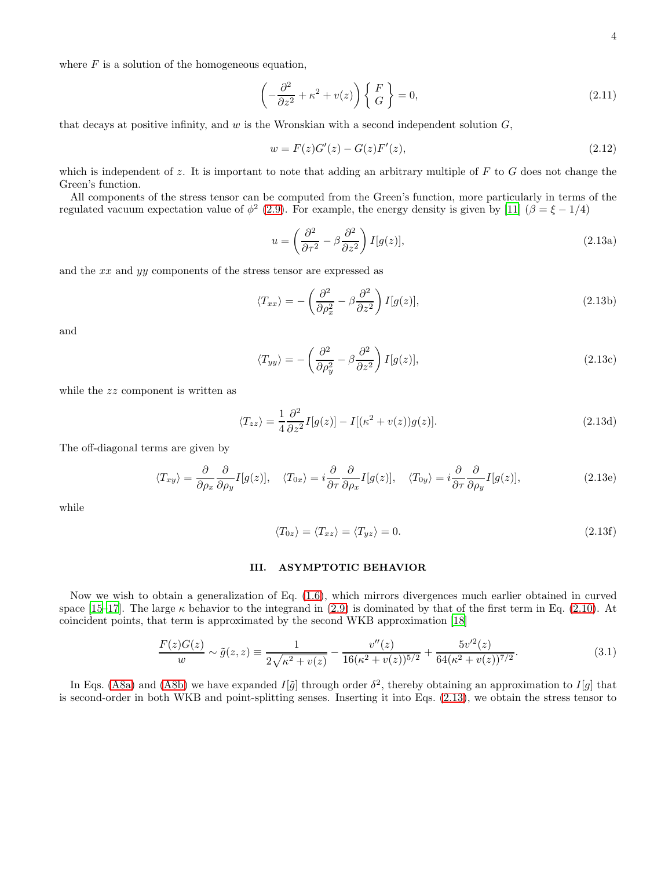where  $F$  is a solution of the homogeneous equation,

<span id="page-3-7"></span>
$$
\left(-\frac{\partial^2}{\partial z^2} + \kappa^2 + v(z)\right) \left\{\begin{array}{c} F \\ G \end{array}\right\} = 0,
$$
\n(2.11)

that decays at positive infinity, and  $w$  is the Wronskian with a second independent solution  $G$ ,

<span id="page-3-8"></span>
$$
w = F(z)G'(z) - G(z)F'(z),
$$
\n(2.12)

which is independent of z. It is important to note that adding an arbitrary multiple of  $F$  to  $G$  does not change the Green's function.

All components of the stress tensor can be computed from the Green's function, more particularly in terms of the regulated vacuum expectation value of  $\phi^2$  [\(2.9\)](#page-2-2). For example, the energy density is given by [\[11](#page-18-9)] ( $\beta = \xi - 1/4$ )

<span id="page-3-6"></span><span id="page-3-1"></span>
$$
u = \left(\frac{\partial^2}{\partial \tau^2} - \beta \frac{\partial^2}{\partial z^2}\right) I[g(z)],\tag{2.13a}
$$

and the xx and yy components of the stress tensor are expressed as

<span id="page-3-4"></span>
$$
\langle T_{xx} \rangle = -\left(\frac{\partial^2}{\partial \rho_x^2} - \beta \frac{\partial^2}{\partial z^2}\right) I[g(z)],\tag{2.13b}
$$

and

<span id="page-3-5"></span>
$$
\langle T_{yy}\rangle = -\left(\frac{\partial^2}{\partial \rho_y^2} - \beta \frac{\partial^2}{\partial z^2}\right) I[g(z)],\tag{2.13c}
$$

while the  $zz$  component is written as

<span id="page-3-3"></span>
$$
\langle T_{zz} \rangle = \frac{1}{4} \frac{\partial^2}{\partial z^2} I[g(z)] - I[(\kappa^2 + v(z))g(z)]. \tag{2.13d}
$$

The off-diagonal terms are given by

$$
\langle T_{xy}\rangle = \frac{\partial}{\partial \rho_x} \frac{\partial}{\partial \rho_y} I[g(z)], \quad \langle T_{0x}\rangle = i \frac{\partial}{\partial \tau} \frac{\partial}{\partial \rho_x} I[g(z)], \quad \langle T_{0y}\rangle = i \frac{\partial}{\partial \tau} \frac{\partial}{\partial \rho_y} I[g(z)], \tag{2.13e}
$$

while

$$
\langle T_{0z} \rangle = \langle T_{xz} \rangle = \langle T_{yz} \rangle = 0. \tag{2.13f}
$$

## <span id="page-3-0"></span>III. ASYMPTOTIC BEHAVIOR

Now we wish to obtain a generalization of Eq. [\(1.6\)](#page-1-0), which mirrors divergences much earlier obtained in curved space [\[15](#page-18-13)[–17](#page-18-14)]. The large  $\kappa$  behavior to the integrand in [\(2.9\)](#page-2-2) is dominated by that of the first term in Eq. [\(2.10\)](#page-2-3). At coincident points, that term is approximated by the second WKB approximation [\[18](#page-18-15)]

<span id="page-3-2"></span>
$$
\frac{F(z)G(z)}{w} \sim \tilde{g}(z, z) \equiv \frac{1}{2\sqrt{\kappa^2 + v(z)}} - \frac{v''(z)}{16(\kappa^2 + v(z))^{5/2}} + \frac{5v'^2(z)}{64(\kappa^2 + v(z))^{7/2}}.
$$
\n(3.1)

In Eqs. [\(A8a\)](#page-15-1) and [\(A8b\)](#page-15-1) we have expanded  $I[\tilde{g}]$  through order  $\delta^2$ , thereby obtaining an approximation to  $I[g]$  that is second-order in both WKB and point-splitting senses. Inserting it into Eqs. [\(2.13\)](#page-3-1), we obtain the stress tensor to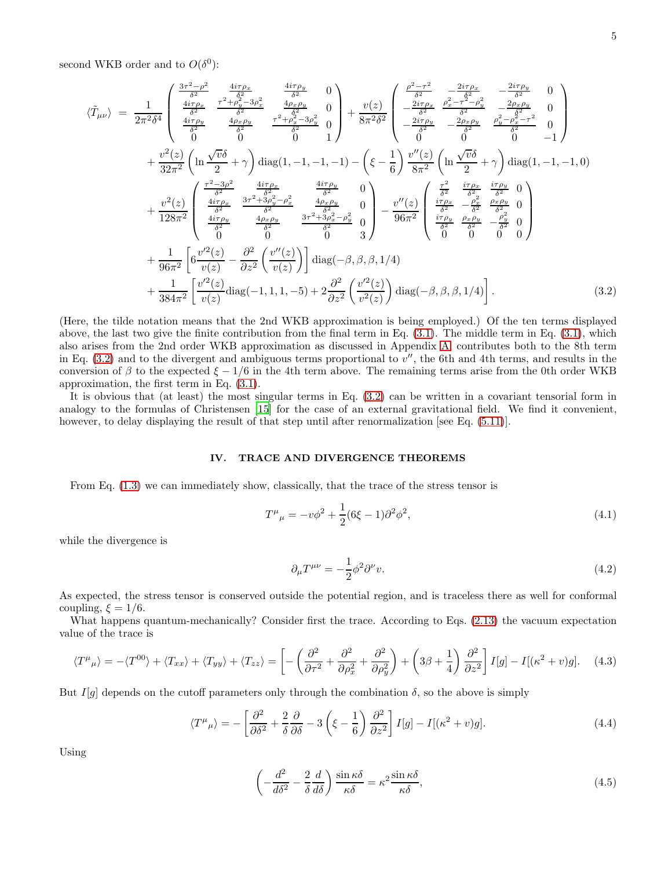second WKB order and to  $O(\delta^0)$ :

<span id="page-4-1"></span>
$$
\langle \tilde{T}_{\mu\nu} \rangle = \frac{1}{2\pi^2 \delta^4} \begin{pmatrix} \frac{3\tau^2 - \rho^2}{\delta^2} & \frac{4i\tau \rho_x}{\delta^2} & \frac{6i\tau \rho_y}{\delta^2} & 0 \\ \frac{4i\tau \rho_x}{\delta^2} & \frac{\tau^2 + \rho_y^2 - 3\rho_x^2}{\delta^2} & \frac{4\rho_x \rho_y}{\delta^2} & 0 \\ \frac{4i\tau \rho_y}{\delta^2} & \frac{4\rho_x \rho_y}{\delta^2} & \frac{\tau^2 + \rho_x^2 - 3\rho_y^2}{\delta^2} & 0 \\ 0 & 0 & 0 & 1 \end{pmatrix} + \frac{v(z)}{8\pi^2 \delta^2} \begin{pmatrix} \frac{2i\tau \rho_x}{\delta^2} & \frac{2i\tau \rho_x}{\delta^2} & -\frac{2i\tau \rho_y}{\delta^2} & -\frac{2\rho_x \rho_y}{\delta^2} & 0 \\ -\frac{2i\tau \rho_y}{\delta^2} & -\frac{2\rho_x \rho_y}{\delta^2} & \frac{2\rho_x \rho_y}{\delta^2} & 0 \\ 0 & 0 & 0 & 1 \end{pmatrix} \\ + \frac{v^2(z)}{32\pi^2} \left( \ln \frac{\sqrt{v}\delta}{2} + \gamma \right) \text{diag}(1, -1, -1, -1) - \left( \xi - \frac{1}{6} \right) \frac{v''(z)}{8\pi^2} \left( \ln \frac{\sqrt{v}\delta}{2} + \gamma \right) \text{diag}(1, -1, -1, 0) \\ + \frac{v^2(z)}{32\pi^2} \begin{pmatrix} \frac{\tau^2 - 3\rho^2}{\delta^2} & \frac{4i\tau \rho_x}{\delta^2} & \frac{4i\tau \rho_y}{\delta^2} & 0 \\ \frac{4i\tau \rho_x}{\delta^2} & \frac{3\tau^2 + 3\rho_x^2 - \rho_x^2}{\delta^2} & \frac{4i\tau \rho_y}{\delta^2} & 0 \\ \frac{4i\tau \rho_y}{\delta^2} & \frac{4i\tau \rho_y}{\delta^2} & \frac{4i\tau \rho_y}{\delta^2} & 0 \\ 0 & 0 & 0 & 3 \end{pmatrix} - \frac{v''(z
$$

(Here, the tilde notation means that the 2nd WKB approximation is being employed.) Of the ten terms displayed above, the last two give the finite contribution from the final term in Eq. [\(3.1\)](#page-3-2). The middle term in Eq. [\(3.1\)](#page-3-2), which also arises from the 2nd order WKB approximation as discussed in Appendix [A,](#page-14-0) contributes both to the 8th term in Eq.  $(3.2)$  and to the divergent and ambiguous terms proportional to  $v''$ , the 6th and 4th terms, and results in the conversion of  $\beta$  to the expected  $\xi - 1/6$  in the 4th term above. The remaining terms arise from the 0th order WKB approximation, the first term in Eq. [\(3.1\)](#page-3-2).

It is obvious that (at least) the most singular terms in Eq. [\(3.2\)](#page-4-1) can be written in a covariant tensorial form in analogy to the formulas of Christensen [\[15](#page-18-13)] for the case of an external gravitational field. We find it convenient, however, to delay displaying the result of that step until after renormalization [see Eq.  $(5.11)$ ].

#### <span id="page-4-0"></span>IV. TRACE AND DIVERGENCE THEOREMS

From Eq. [\(1.3\)](#page-1-1) we can immediately show, classically, that the trace of the stress tensor is

<span id="page-4-3"></span>
$$
T^{\mu}{}_{\mu} = -v\phi^2 + \frac{1}{2}(6\xi - 1)\partial^2\phi^2,\tag{4.1}
$$

while the divergence is

<span id="page-4-5"></span>
$$
\partial_{\mu}T^{\mu\nu} = -\frac{1}{2}\phi^2 \partial^{\nu}v. \tag{4.2}
$$

As expected, the stress tensor is conserved outside the potential region, and is traceless there as well for conformal coupling,  $\xi = 1/6$ .

What happens quantum-mechanically? Consider first the trace. According to Eqs. [\(2.13\)](#page-3-1) the vacuum expectation value of the trace is

$$
\langle T^{\mu}{}_{\mu}\rangle = -\langle T^{00}\rangle + \langle T_{xx}\rangle + \langle T_{yy}\rangle + \langle T_{zz}\rangle = \left[ -\left(\frac{\partial^2}{\partial \tau^2} + \frac{\partial^2}{\partial \rho_x^2} + \frac{\partial^2}{\partial \rho_y^2}\right) + \left(3\beta + \frac{1}{4}\right)\frac{\partial^2}{\partial z^2}\right] I[g] - I[(\kappa^2 + v)g]. \tag{4.3}
$$

But I[g] depends on the cutoff parameters only through the combination  $\delta$ , so the above is simply

<span id="page-4-2"></span>
$$
\langle T^{\mu}_{\ \mu} \rangle = -\left[\frac{\partial^2}{\partial \delta^2} + \frac{2}{\delta} \frac{\partial}{\partial \delta} - 3\left(\xi - \frac{1}{6}\right) \frac{\partial^2}{\partial z^2}\right] I[g] - I[(\kappa^2 + v)g]. \tag{4.4}
$$

Using

<span id="page-4-4"></span>
$$
\left(-\frac{d^2}{d\delta^2} - \frac{2}{\delta} \frac{d}{d\delta}\right) \frac{\sin \kappa \delta}{\kappa \delta} = \kappa^2 \frac{\sin \kappa \delta}{\kappa \delta},\tag{4.5}
$$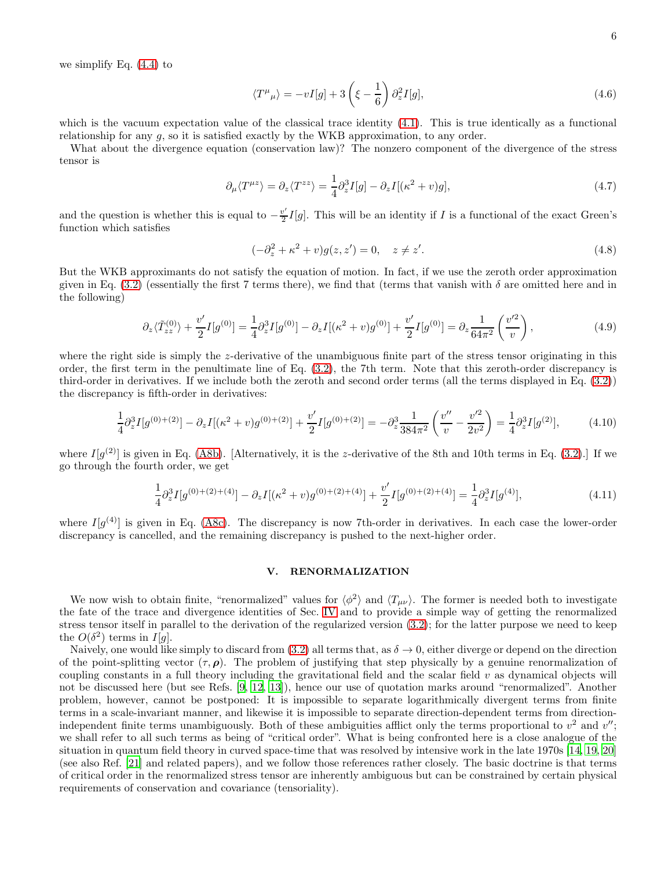we simplify Eq. [\(4.4\)](#page-4-2) to

<span id="page-5-2"></span>
$$
\langle T^{\mu}_{\ \mu} \rangle = -vI[g] + 3\left(\xi - \frac{1}{6}\right)\partial_z^2 I[g],\tag{4.6}
$$

which is the vacuum expectation value of the classical trace identity  $(4.1)$ . This is true identically as a functional relationship for any g, so it is satisfied exactly by the WKB approximation, to any order.

What about the divergence equation (conservation law)? The nonzero component of the divergence of the stress tensor is

$$
\partial_{\mu} \langle T^{\mu z} \rangle = \partial_{z} \langle T^{zz} \rangle = \frac{1}{4} \partial_{z}^{3} I[g] - \partial_{z} I[(\kappa^{2} + v)g], \tag{4.7}
$$

and the question is whether this is equal to  $-\frac{v'}{2}$  $\frac{\partial^2}{\partial z^2}I[g]$ . This will be an identity if I is a functional of the exact Green's function which satisfies

$$
(-\partial_z^2 + \kappa^2 + v)g(z, z') = 0, \quad z \neq z'. \tag{4.8}
$$

But the WKB approximants do not satisfy the equation of motion. In fact, if we use the zeroth order approximation given in Eq. [\(3.2\)](#page-4-1) (essentially the first 7 terms there), we find that (terms that vanish with  $\delta$  are omitted here and in the following)

$$
\partial_z \langle \tilde{T}_{zz}^{(0)} \rangle + \frac{v'}{2} I[g^{(0)}] = \frac{1}{4} \partial_z^3 I[g^{(0)}] - \partial_z I[(\kappa^2 + v)g^{(0)}] + \frac{v'}{2} I[g^{(0)}] = \partial_z \frac{1}{64\pi^2} \left(\frac{v'^2}{v}\right),\tag{4.9}
$$

where the right side is simply the z-derivative of the unambiguous finite part of the stress tensor originating in this order, the first term in the penultimate line of Eq. [\(3.2\)](#page-4-1), the 7th term. Note that this zeroth-order discrepancy is third-order in derivatives. If we include both the zeroth and second order terms (all the terms displayed in Eq. [\(3.2\)](#page-4-1)) the discrepancy is fifth-order in derivatives:

<span id="page-5-1"></span>
$$
\frac{1}{4}\partial_z^3 I[g^{(0)+(2)}] - \partial_z I[(\kappa^2 + v)g^{(0)+(2)}] + \frac{v'}{2}I[g^{(0)+(2)}] = -\partial_z^3 \frac{1}{384\pi^2} \left(\frac{v''}{v} - \frac{v'^2}{2v^2}\right) = \frac{1}{4}\partial_z^3 I[g^{(2)}],\tag{4.10}
$$

where  $I[g^{(2)}]$  is given in Eq. [\(A8b\)](#page-15-1). [Alternatively, it is the z-derivative of the 8th and 10th terms in Eq. [\(3.2\)](#page-4-1).] If we go through the fourth order, we get

$$
\frac{1}{4}\partial_z^3 I[g^{(0)+(2)+(4)}] - \partial_z I[(\kappa^2 + v)g^{(0)+(2)+(4)}] + \frac{v'}{2}I[g^{(0)+(2)+(4)}] = \frac{1}{4}\partial_z^3 I[g^{(4)}],\tag{4.11}
$$

where  $I[g^{(4)}]$  is given in Eq. [\(A8c\)](#page-15-1). The discrepancy is now 7th-order in derivatives. In each case the lower-order discrepancy is cancelled, and the remaining discrepancy is pushed to the next-higher order.

#### <span id="page-5-0"></span>V. RENORMALIZATION

We now wish to obtain finite, "renormalized" values for  $\langle \phi^2 \rangle$  and  $\langle T_{\mu\nu} \rangle$ . The former is needed both to investigate the fate of the trace and divergence identities of Sec. [IV](#page-4-0) and to provide a simple way of getting the renormalized stress tensor itself in parallel to the derivation of the regularized version [\(3.2\)](#page-4-1); for the latter purpose we need to keep the  $O(\delta^2)$  terms in  $I[g]$ .

Naively, one would like simply to discard from [\(3.2\)](#page-4-1) all terms that, as  $\delta \to 0$ , either diverge or depend on the direction of the point-splitting vector  $(\tau, \rho)$ . The problem of justifying that step physically by a genuine renormalization of coupling constants in a full theory including the gravitational field and the scalar field  $v$  as dynamical objects will not be discussed here (but see Refs. [\[9](#page-18-7), [12,](#page-18-10) [13](#page-18-11)]), hence our use of quotation marks around "renormalized". Another problem, however, cannot be postponed: It is impossible to separate logarithmically divergent terms from finite terms in a scale-invariant manner, and likewise it is impossible to separate direction-dependent terms from directionindependent finite terms unambiguously. Both of these ambiguities afflict only the terms proportional to  $v^2$  and  $v''$ ; we shall refer to all such terms as being of "critical order". What is being confronted here is a close analogue of the situation in quantum field theory in curved space-time that was resolved by intensive work in the late 1970s [\[14,](#page-18-12) [19,](#page-18-16) [20](#page-18-17)] (see also Ref. [\[21](#page-18-18)] and related papers), and we follow those references rather closely. The basic doctrine is that terms of critical order in the renormalized stress tensor are inherently ambiguous but can be constrained by certain physical requirements of conservation and covariance (tensoriality).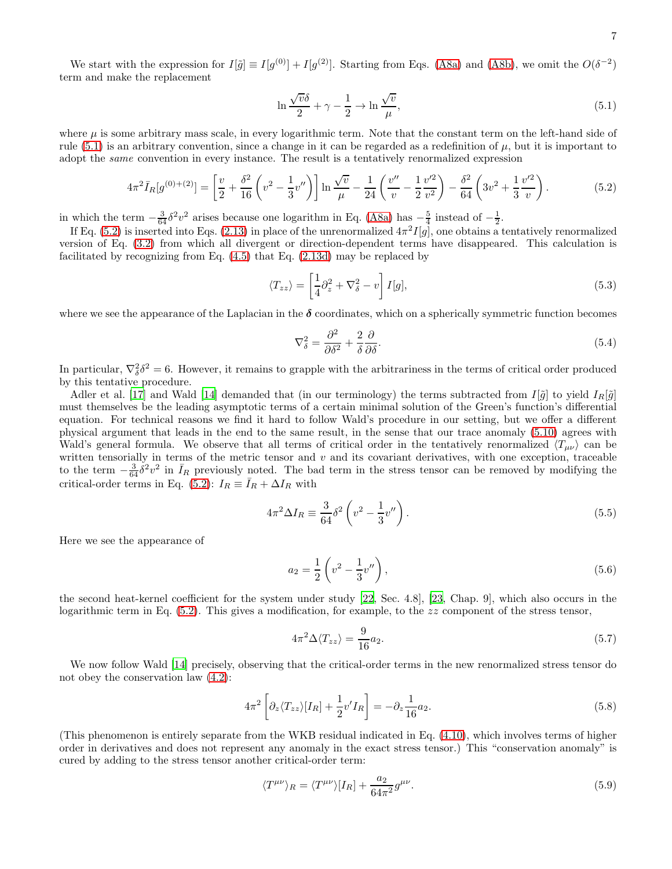We start with the expression for  $I[\tilde{g}] \equiv I[g^{(0)}] + I[g^{(2)}]$ . Starting from Eqs. [\(A8a\)](#page-15-1) and [\(A8b\)](#page-15-1), we omit the  $O(\delta^{-2})$ term and make the replacement

<span id="page-6-0"></span>
$$
\ln \frac{\sqrt{v}\delta}{2} + \gamma - \frac{1}{2} \to \ln \frac{\sqrt{v}}{\mu},\tag{5.1}
$$

where  $\mu$  is some arbitrary mass scale, in every logarithmic term. Note that the constant term on the left-hand side of rule  $(5.1)$  is an arbitrary convention, since a change in it can be regarded as a redefinition of  $\mu$ , but it is important to adopt the same convention in every instance. The result is a tentatively renormalized expression

<span id="page-6-1"></span>
$$
4\pi^2 \bar{I}_R[g^{(0)+(2)}] = \left[\frac{v}{2} + \frac{\delta^2}{16} \left(v^2 - \frac{1}{3}v''\right)\right] \ln \frac{\sqrt{v}}{\mu} - \frac{1}{24} \left(\frac{v''}{v} - \frac{1}{2}\frac{v'^2}{v^2}\right) - \frac{\delta^2}{64} \left(3v^2 + \frac{1}{3}\frac{v'^2}{v}\right). \tag{5.2}
$$

in which the term  $-\frac{3}{64}\delta^2v^2$  arises because one logarithm in Eq. [\(A8a\)](#page-15-1) has  $-\frac{5}{4}$  instead of  $-\frac{1}{2}$ .

If Eq. [\(5.2\)](#page-6-1) is inserted into Eqs. [\(2.13\)](#page-3-1) in place of the unrenormalized  $4\pi^2 I[g]$ , one obtains a tentatively renormalized version of Eq. [\(3.2\)](#page-4-1) from which all divergent or direction-dependent terms have disappeared. This calculation is facilitated by recognizing from Eq. [\(4.5\)](#page-4-4) that Eq. [\(2.13d\)](#page-3-3) may be replaced by

$$
\langle T_{zz} \rangle = \left[ \frac{1}{4} \partial_z^2 + \nabla_{\delta}^2 - v \right] I[g], \tag{5.3}
$$

where we see the appearance of the Laplacian in the  $\delta$  coordinates, which on a spherically symmetric function becomes

$$
\nabla_{\delta}^{2} = \frac{\partial^{2}}{\partial \delta^{2}} + \frac{2}{\delta} \frac{\partial}{\partial \delta}.
$$
\n(5.4)

In particular,  $\nabla_{\delta}^2 \delta^2 = 6$ . However, it remains to grapple with the arbitrariness in the terms of critical order produced by this tentative procedure.

Adler et al. [\[17\]](#page-18-14) and Wald [\[14\]](#page-18-12) demanded that (in our terminology) the terms subtracted from  $I[\tilde{g}]$  to yield  $I_R[\tilde{g}]$ must themselves be the leading asymptotic terms of a certain minimal solution of the Green's function's differential equation. For technical reasons we find it hard to follow Wald's procedure in our setting, but we offer a different physical argument that leads in the end to the same result, in the sense that our trace anomaly [\(5.10\)](#page-7-2) agrees with Wald's general formula. We observe that all terms of critical order in the tentatively renormalized  $\langle T_{\mu\nu} \rangle$  can be written tensorially in terms of the metric tensor and  $v$  and its covariant derivatives, with one exception, traceable to the term  $-\frac{3}{64}\delta^2v^2$  in  $\bar{I}_R$  previously noted. The bad term in the stress tensor can be removed by modifying the critical-order terms in Eq. [\(5.2\)](#page-6-1):  $I_R \equiv \bar{I}_R + \Delta I_R$  with

$$
4\pi^2 \Delta I_R \equiv \frac{3}{64} \delta^2 \left( v^2 - \frac{1}{3} v'' \right). \tag{5.5}
$$

Here we see the appearance of

$$
a_2 = \frac{1}{2} \left( v^2 - \frac{1}{3} v'' \right), \tag{5.6}
$$

the second heat-kernel coefficient for the system under study [\[22,](#page-18-19) Sec. 4.8], [\[23,](#page-18-20) Chap. 9], which also occurs in the logarithmic term in Eq.  $(5.2)$ . This gives a modification, for example, to the zz component of the stress tensor,

$$
4\pi^2 \Delta \langle T_{zz} \rangle = \frac{9}{16} a_2. \tag{5.7}
$$

We now follow Wald [\[14\]](#page-18-12) precisely, observing that the critical-order terms in the new renormalized stress tensor do not obey the conservation law [\(4.2\)](#page-4-5):

<span id="page-6-2"></span>
$$
4\pi^2 \left[ \partial_z \langle T_{zz} \rangle [I_R] + \frac{1}{2} v' I_R \right] = -\partial_z \frac{1}{16} a_2. \tag{5.8}
$$

(This phenomenon is entirely separate from the WKB residual indicated in Eq. [\(4.10\)](#page-5-1), which involves terms of higher order in derivatives and does not represent any anomaly in the exact stress tensor.) This "conservation anomaly" is cured by adding to the stress tensor another critical-order term:

<span id="page-6-3"></span>
$$
\langle T^{\mu\nu}\rangle_R = \langle T^{\mu\nu}\rangle[I_R] + \frac{a_2}{64\pi^2}g^{\mu\nu}.
$$
\n(5.9)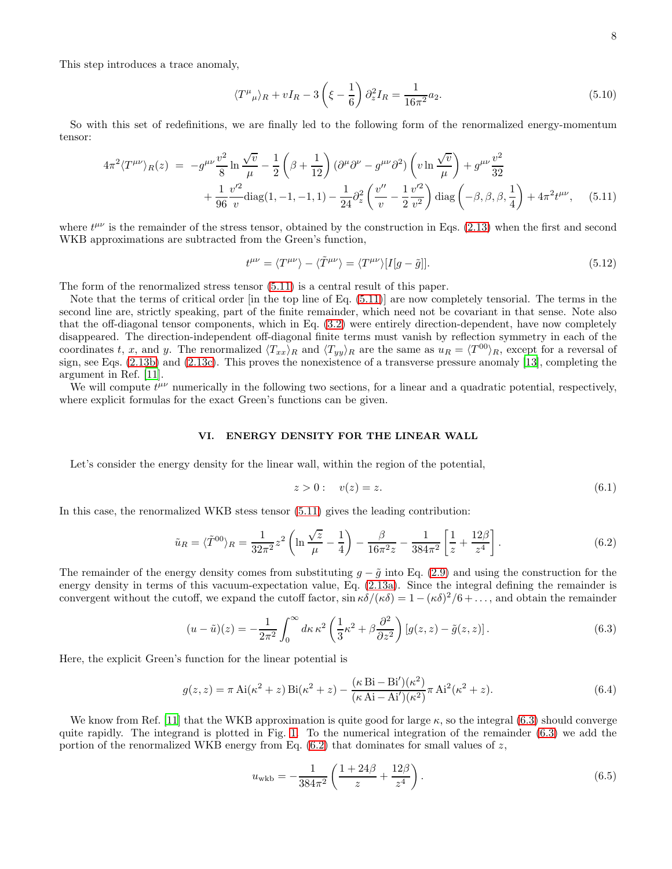This step introduces a trace anomaly,

<span id="page-7-2"></span>
$$
\langle T^{\mu}_{\ \mu} \rangle_R + vI_R - 3\left(\xi - \frac{1}{6}\right)\partial_z^2 I_R = \frac{1}{16\pi^2}a_2.
$$
\n
$$
(5.10)
$$

So with this set of redefinitions, we are finally led to the following form of the renormalized energy-momentum tensor:

<span id="page-7-1"></span>
$$
4\pi^{2}\langle T^{\mu\nu}\rangle_{R}(z) = -g^{\mu\nu}\frac{v^{2}}{8}\ln\frac{\sqrt{v}}{\mu} - \frac{1}{2}\left(\beta + \frac{1}{12}\right)(\partial^{\mu}\partial^{\nu} - g^{\mu\nu}\partial^{2})\left(v\ln\frac{\sqrt{v}}{\mu}\right) + g^{\mu\nu}\frac{v^{2}}{32} + \frac{1}{96}\frac{v'^{2}}{v}\text{diag}(1, -1, -1, 1) - \frac{1}{24}\partial_{z}^{2}\left(\frac{v''}{v} - \frac{1}{2}\frac{v'^{2}}{v^{2}}\right)\text{diag}\left(-\beta, \beta, \beta, \frac{1}{4}\right) + 4\pi^{2}t^{\mu\nu}, \quad (5.11)
$$

where  $t^{\mu\nu}$  is the remainder of the stress tensor, obtained by the construction in Eqs. [\(2.13\)](#page-3-1) when the first and second WKB approximations are subtracted from the Green's function,

$$
t^{\mu\nu} = \langle T^{\mu\nu} \rangle - \langle \tilde{T}^{\mu\nu} \rangle = \langle T^{\mu\nu} \rangle [I[g - \tilde{g}]]. \tag{5.12}
$$

The form of the renormalized stress tensor [\(5.11\)](#page-7-1) is a central result of this paper.

Note that the terms of critical order [in the top line of Eq. [\(5.11\)](#page-7-1)] are now completely tensorial. The terms in the second line are, strictly speaking, part of the finite remainder, which need not be covariant in that sense. Note also that the off-diagonal tensor components, which in Eq. [\(3.2\)](#page-4-1) were entirely direction-dependent, have now completely disappeared. The direction-independent off-diagonal finite terms must vanish by reflection symmetry in each of the coordinates t, x, and y. The renormalized  $\langle T_{xx}\rangle_R$  and  $\langle T_{yy}\rangle_R$  are the same as  $u_R = \langle T^{00}\rangle_R$ , except for a reversal of sign, see Eqs. [\(2.13b\)](#page-3-4) and [\(2.13c\)](#page-3-5). This proves the nonexistence of a transverse pressure anomaly [\[13](#page-18-11)], completing the argument in Ref. [\[11\]](#page-18-9).

We will compute  $t^{\mu\nu}$  numerically in the following two sections, for a linear and a quadratic potential, respectively, where explicit formulas for the exact Green's functions can be given.

#### <span id="page-7-0"></span>VI. ENERGY DENSITY FOR THE LINEAR WALL

Let's consider the energy density for the linear wall, within the region of the potential,

$$
z > 0: \quad v(z) = z. \tag{6.1}
$$

In this case, the renormalized WKB stess tensor [\(5.11\)](#page-7-1) gives the leading contribution:

<span id="page-7-4"></span>
$$
\tilde{u}_R = \langle \tilde{T}^{00} \rangle_R = \frac{1}{32\pi^2} z^2 \left( \ln \frac{\sqrt{z}}{\mu} - \frac{1}{4} \right) - \frac{\beta}{16\pi^2 z} - \frac{1}{384\pi^2} \left[ \frac{1}{z} + \frac{12\beta}{z^4} \right].
$$
\n(6.2)

The remainder of the energy density comes from substituting  $g - \tilde{g}$  into Eq. [\(2.9\)](#page-2-2) and using the construction for the energy density in terms of this vacuum-expectation value, Eq. [\(2.13a\)](#page-3-6). Since the integral defining the remainder is convergent without the cutoff, we expand the cutoff factor,  $\sin \kappa \delta/(\kappa \delta) = 1 - (\kappa \delta)^2/6 + \dots$ , and obtain the remainder

<span id="page-7-3"></span>
$$
(u - \tilde{u})(z) = -\frac{1}{2\pi^2} \int_0^\infty d\kappa \,\kappa^2 \left(\frac{1}{3}\kappa^2 + \beta \frac{\partial^2}{\partial z^2}\right) \left[g(z, z) - \tilde{g}(z, z)\right].\tag{6.3}
$$

Here, the explicit Green's function for the linear potential is

<span id="page-7-6"></span>
$$
g(z, z) = \pi \text{ Ai}(\kappa^2 + z) \text{ Bi}(\kappa^2 + z) - \frac{(\kappa \text{ Bi} - \text{Bi}')(\kappa^2)}{(\kappa \text{ Ai} - \text{Ai}')(\kappa^2)} \pi \text{ Ai}^2(\kappa^2 + z).
$$
 (6.4)

We know from Ref. [\[11\]](#page-18-9) that the WKB approximation is quite good for large  $\kappa$ , so the integral [\(6.3\)](#page-7-3) should converge quite rapidly. The integrand is plotted in Fig. [1.](#page-8-0) To the numerical integration of the remainder  $(6.3)$  we add the portion of the renormalized WKB energy from Eq.  $(6.2)$  that dominates for small values of z,

<span id="page-7-5"></span>
$$
u_{\rm wkb} = -\frac{1}{384\pi^2} \left( \frac{1+24\beta}{z} + \frac{12\beta}{z^4} \right). \tag{6.5}
$$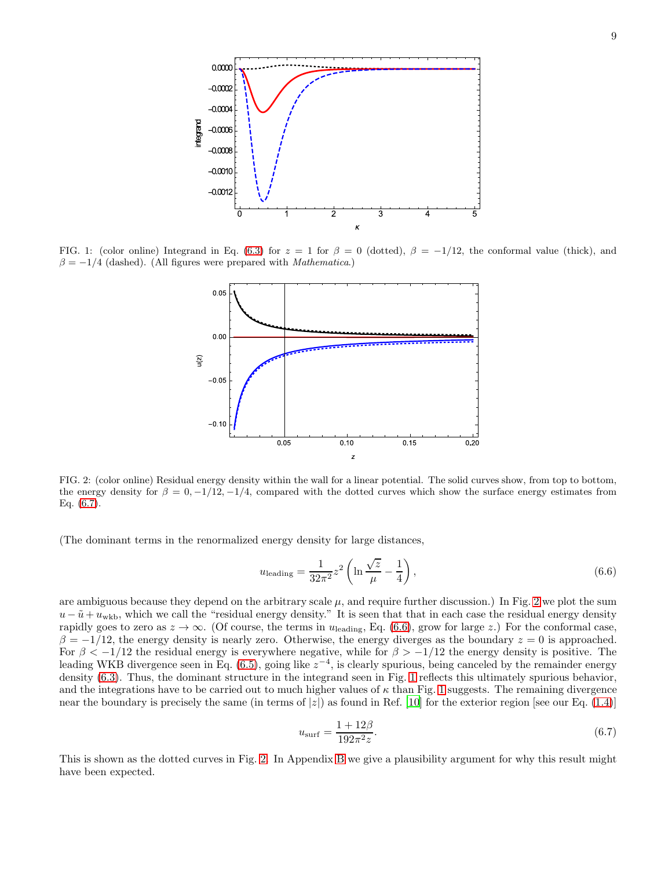

<span id="page-8-0"></span>FIG. 1: (color online) Integrand in Eq. [\(6.3\)](#page-7-3) for  $z = 1$  for  $\beta = 0$  (dotted),  $\beta = -1/12$ , the conformal value (thick), and  $\beta = -1/4$  (dashed). (All figures were prepared with *Mathematica*.)



<span id="page-8-2"></span>FIG. 2: (color online) Residual energy density within the wall for a linear potential. The solid curves show, from top to bottom, the energy density for  $\beta = 0, -1/12, -1/4$ , compared with the dotted curves which show the surface energy estimates from Eq. [\(6.7\)](#page-8-1).

(The dominant terms in the renormalized energy density for large distances,

<span id="page-8-3"></span>
$$
u_{\text{leading}} = \frac{1}{32\pi^2} z^2 \left( \ln \frac{\sqrt{z}}{\mu} - \frac{1}{4} \right),\tag{6.6}
$$

are ambiguous because they depend on the arbitrary scale  $\mu$ , and require further discussion.) In Fig. [2](#page-8-2) we plot the sum  $u - \tilde{u} + u_{\text{wkb}}$ , which we call the "residual energy density." It is seen that that in each case the residual energy density rapidly goes to zero as  $z \to \infty$ . (Of course, the terms in  $u_{\rm leading}$ , Eq. [\(6.6\)](#page-8-3), grow for large z.) For the conformal case,  $\beta = -1/12$ , the energy density is nearly zero. Otherwise, the energy diverges as the boundary  $z = 0$  is approached. For  $\beta < -1/12$  the residual energy is everywhere negative, while for  $\beta > -1/12$  the energy density is positive. The leading WKB divergence seen in Eq.  $(6.5)$ , going like  $z^{-4}$ , is clearly spurious, being canceled by the remainder energy density [\(6.3\)](#page-7-3). Thus, the dominant structure in the integrand seen in Fig. [1](#page-8-0) reflects this ultimately spurious behavior, and the integrations have to be carried out to much higher values of  $\kappa$  than Fig. [1](#page-8-0) suggests. The remaining divergence near the boundary is precisely the same (in terms of |z|) as found in Ref. [\[10](#page-18-8)] for the exterior region [see our Eq. [\(1.4\)](#page-1-2)]

<span id="page-8-1"></span>
$$
u_{\text{surf}} = \frac{1 + 12\beta}{192\pi^2 z}.
$$
\n(6.7)

This is shown as the dotted curves in Fig. [2.](#page-8-2) In Appendix [B](#page-15-0) we give a plausibility argument for why this result might have been expected.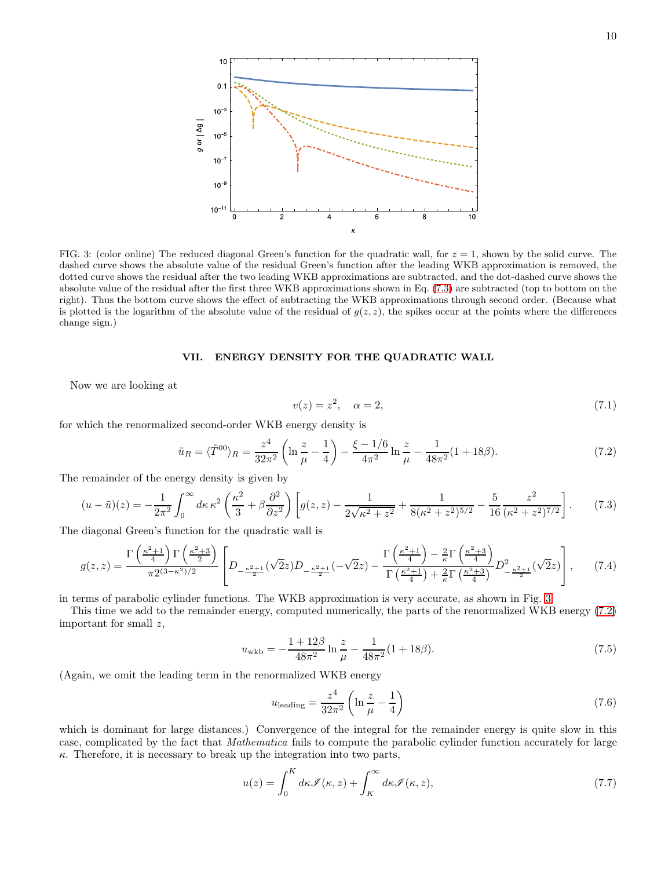

<span id="page-9-2"></span>FIG. 3: (color online) The reduced diagonal Green's function for the quadratic wall, for  $z = 1$ , shown by the solid curve. The dashed curve shows the absolute value of the residual Green's function after the leading WKB approximation is removed, the dotted curve shows the residual after the two leading WKB approximations are subtracted, and the dot-dashed curve shows the absolute value of the residual after the first three WKB approximations shown in Eq. [\(7.3\)](#page-9-1) are subtracted (top to bottom on the right). Thus the bottom curve shows the effect of subtracting the WKB approximations through second order. (Because what is plotted is the logarithm of the absolute value of the residual of  $g(z, z)$ , the spikes occur at the points where the differences change sign.)

### <span id="page-9-0"></span>VII. ENERGY DENSITY FOR THE QUADRATIC WALL

Now we are looking at

$$
v(z) = z^2, \quad \alpha = 2,\tag{7.1}
$$

for which the renormalized second-order WKB energy density is

<span id="page-9-3"></span>
$$
\tilde{u}_R = \langle \tilde{T}^{00} \rangle_R = \frac{z^4}{32\pi^2} \left( \ln \frac{z}{\mu} - \frac{1}{4} \right) - \frac{\xi - 1/6}{4\pi^2} \ln \frac{z}{\mu} - \frac{1}{48\pi^2} (1 + 18\beta). \tag{7.2}
$$

The remainder of the energy density is given by

<span id="page-9-1"></span>
$$
(u - \tilde{u})(z) = -\frac{1}{2\pi^2} \int_0^\infty d\kappa \,\kappa^2 \left(\frac{\kappa^2}{3} + \beta \frac{\partial^2}{\partial z^2}\right) \left[g(z, z) - \frac{1}{2\sqrt{\kappa^2 + z^2}} + \frac{1}{8(\kappa^2 + z^2)^{5/2}} - \frac{5}{16} \frac{z^2}{(\kappa^2 + z^2)^{7/2}}\right].\tag{7.3}
$$

The diagonal Green's function for the quadratic wall is

$$
g(z,z) = \frac{\Gamma\left(\frac{\kappa^2+1}{4}\right)\Gamma\left(\frac{\kappa^2+3}{2}\right)}{\pi 2^{(3-\kappa^2)/2}} \left[ D_{-\frac{\kappa^2+1}{2}}(\sqrt{2}z)D_{-\frac{\kappa^2+1}{2}}(-\sqrt{2}z) - \frac{\Gamma\left(\frac{\kappa^2+1}{4}\right) - \frac{2}{\kappa}\Gamma\left(\frac{\kappa^2+3}{4}\right)}{\Gamma\left(\frac{\kappa^2+1}{4}\right) + \frac{2}{\kappa}\Gamma\left(\frac{\kappa^2+3}{4}\right)} D_{-\frac{\kappa^2+1}{2}}^2(\sqrt{2}z) \right],\tag{7.4}
$$

in terms of parabolic cylinder functions. The WKB approximation is very accurate, as shown in Fig. [3.](#page-9-2)

This time we add to the remainder energy, computed numerically, the parts of the renormalized WKB energy [\(7.2\)](#page-9-3) important for small  $z$ ,

<span id="page-9-4"></span>
$$
u_{\rm wkb} = -\frac{1+12\beta}{48\pi^2} \ln\frac{z}{\mu} - \frac{1}{48\pi^2} (1+18\beta). \tag{7.5}
$$

(Again, we omit the leading term in the renormalized WKB energy

$$
u_{\text{leading}} = \frac{z^4}{32\pi^2} \left( \ln \frac{z}{\mu} - \frac{1}{4} \right) \tag{7.6}
$$

which is dominant for large distances.) Convergence of the integral for the remainder energy is quite slow in this case, complicated by the fact that Mathematica fails to compute the parabolic cylinder function accurately for large  $\kappa$ . Therefore, it is necessary to break up the integration into two parts,

<span id="page-9-5"></span>
$$
u(z) = \int_0^K d\kappa \mathcal{I}(\kappa, z) + \int_K^\infty d\kappa \mathcal{I}(\kappa, z), \tag{7.7}
$$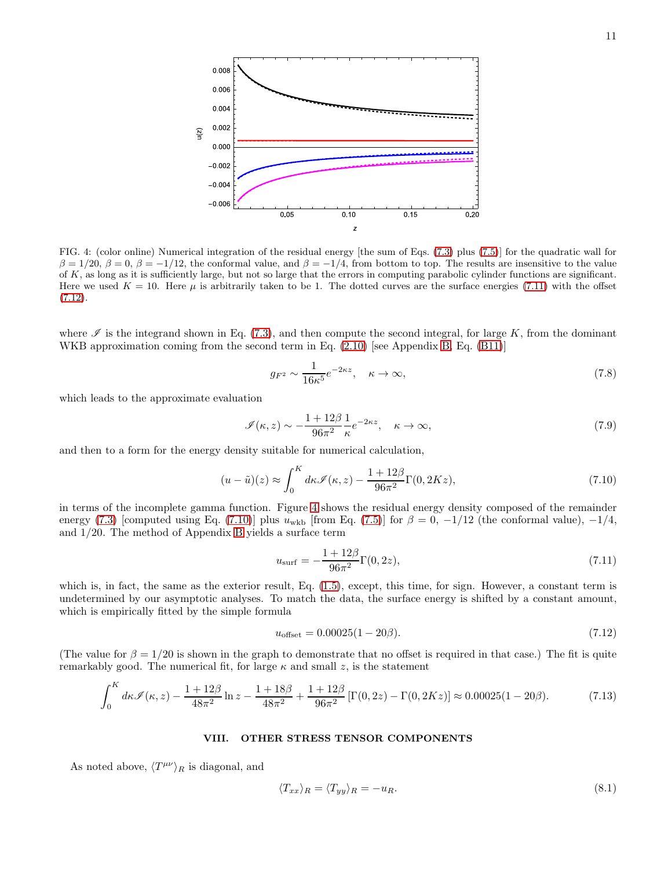

<span id="page-10-3"></span>FIG. 4: (color online) Numerical integration of the residual energy [the sum of Eqs. [\(7.3\)](#page-9-1) plus [\(7.5\)](#page-9-4)] for the quadratic wall for  $\beta = 1/20$ ,  $\beta = 0$ ,  $\beta = -1/12$ , the conformal value, and  $\beta = -1/4$ , from bottom to top. The results are insensitive to the value of  $K$ , as long as it is sufficiently large, but not so large that the errors in computing parabolic cylinder functions are significant. Here we used  $K = 10$ . Here  $\mu$  is arbitrarily taken to be 1. The dotted curves are the surface energies [\(7.11\)](#page-10-1) with the offset  $(7.12).$  $(7.12).$ 

where  $\mathscr I$  is the integrand shown in Eq. [\(7.3\)](#page-9-1), and then compute the second integral, for large K, from the dominant WKB approximation coming from the second term in Eq. [\(2.10\)](#page-2-3) [see Appendix [B,](#page-15-0) Eq. [\(B11\)](#page-17-0)]

$$
g_{F^2} \sim \frac{1}{16\kappa^5} e^{-2\kappa z}, \quad \kappa \to \infty,
$$
\n(7.8)

which leads to the approximate evaluation

$$
\mathcal{I}(\kappa, z) \sim -\frac{1 + 12\beta}{96\pi^2} \frac{1}{\kappa} e^{-2\kappa z}, \quad \kappa \to \infty,
$$
\n(7.9)

and then to a form for the energy density suitable for numerical calculation,

<span id="page-10-4"></span>
$$
(u - \tilde{u})(z) \approx \int_0^K d\kappa \mathcal{I}(\kappa, z) - \frac{1 + 12\beta}{96\pi^2} \Gamma(0, 2Kz),\tag{7.10}
$$

in terms of the incomplete gamma function. Figure [4](#page-10-3) shows the residual energy density composed of the remainder energy [\(7.3\)](#page-9-1) [computed using Eq. [\(7.10\)](#page-10-4)] plus  $u_{\text{wkb}}$  [from Eq. [\(7.5\)](#page-9-4)] for  $\beta = 0, -1/12$  (the conformal value),  $-1/4$ , and 1/20. The method of Appendix [B](#page-15-0) yields a surface term

<span id="page-10-1"></span>
$$
u_{\text{surf}} = -\frac{1 + 12\beta}{96\pi^2} \Gamma(0, 2z),\tag{7.11}
$$

which is, in fact, the same as the exterior result, Eq.  $(1.5)$ , except, this time, for sign. However, a constant term is undetermined by our asymptotic analyses. To match the data, the surface energy is shifted by a constant amount, which is empirically fitted by the simple formula

<span id="page-10-2"></span>
$$
u_{\text{offset}} = 0.00025(1 - 20\beta). \tag{7.12}
$$

(The value for  $\beta = 1/20$  is shown in the graph to demonstrate that no offset is required in that case.) The fit is quite remarkably good. The numerical fit, for large  $\kappa$  and small z, is the statement

<span id="page-10-5"></span>
$$
\int_0^K d\kappa \mathcal{I}(\kappa, z) - \frac{1 + 12\beta}{48\pi^2} \ln z - \frac{1 + 18\beta}{48\pi^2} + \frac{1 + 12\beta}{96\pi^2} \left[ \Gamma(0, 2z) - \Gamma(0, 2Kz) \right] \approx 0.00025(1 - 20\beta). \tag{7.13}
$$

### <span id="page-10-0"></span>VIII. OTHER STRESS TENSOR COMPONENTS

As noted above,  $\langle T^{\mu\nu} \rangle_R$  is diagonal, and

$$
\langle T_{xx}\rangle_R = \langle T_{yy}\rangle_R = -u_R. \tag{8.1}
$$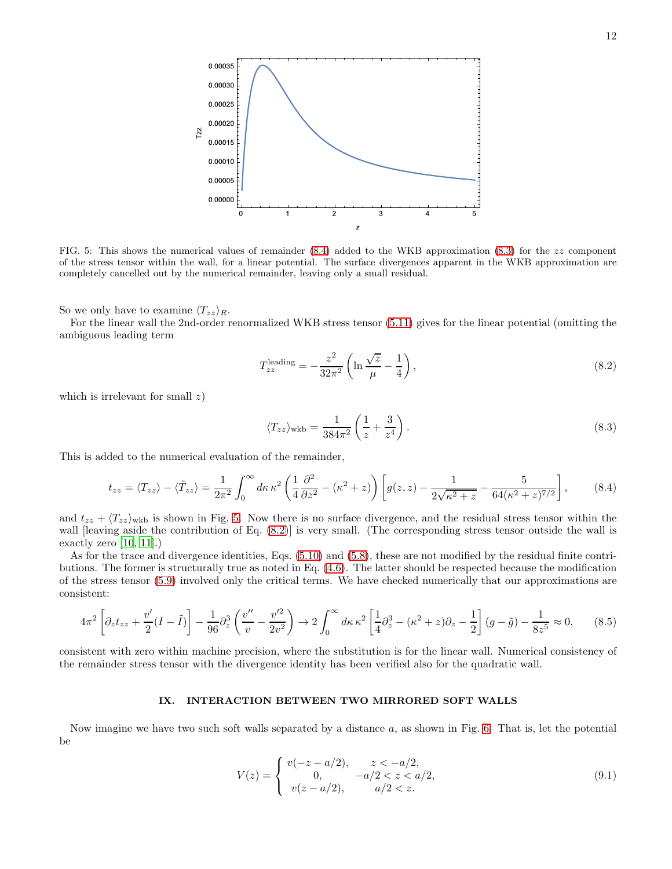

<span id="page-11-3"></span>FIG. 5: This shows the numerical values of remainder [\(8.4\)](#page-11-1) added to the WKB approximation [\(8.3\)](#page-11-2) for the zz component of the stress tensor within the wall, for a linear potential. The surface divergences apparent in the WKB approximation are completely cancelled out by the numerical remainder, leaving only a small residual.

So we only have to examine  $\langle T_{zz} \rangle_R$ .

For the linear wall the 2nd-order renormalized WKB stress tensor [\(5.11\)](#page-7-1) gives for the linear potential (omitting the ambiguous leading term

<span id="page-11-4"></span>
$$
T_{zz}^{\text{leading}} = -\frac{z^2}{32\pi^2} \left( \ln \frac{\sqrt{z}}{\mu} - \frac{1}{4} \right),\tag{8.2}
$$

which is irrelevant for small  $z$ )

<span id="page-11-2"></span>
$$
\langle T_{zz} \rangle_{\text{wkb}} = \frac{1}{384\pi^2} \left( \frac{1}{z} + \frac{3}{z^4} \right). \tag{8.3}
$$

This is added to the numerical evaluation of the remainder,

<span id="page-11-1"></span>
$$
t_{zz} = \langle T_{zz} \rangle - \langle \tilde{T}_{zz} \rangle = \frac{1}{2\pi^2} \int_0^\infty d\kappa \,\kappa^2 \left( \frac{1}{4} \frac{\partial^2}{\partial z^2} - (\kappa^2 + z) \right) \left[ g(z, z) - \frac{1}{2\sqrt{\kappa^2 + z}} - \frac{5}{64(\kappa^2 + z)^{7/2}} \right],\tag{8.4}
$$

and  $t_{zz} + \langle T_{zz} \rangle_{\text{wkb}}$  is shown in Fig. [5.](#page-11-3) Now there is no surface divergence, and the residual stress tensor within the wall [leaving aside the contribution of Eq. [\(8.2\)](#page-11-4)] is very small. (The corresponding stress tensor outside the wall is exactly zero [\[10](#page-18-8), [11](#page-18-9)].)

As for the trace and divergence identities, Eqs. [\(5.10\)](#page-7-2) and [\(5.8\)](#page-6-2), these are not modified by the residual finite contributions. The former is structurally true as noted in Eq. [\(4.6\)](#page-5-2). The latter should be respected because the modification of the stress tensor [\(5.9\)](#page-6-3) involved only the critical terms. We have checked numerically that our approximations are consistent:

$$
4\pi^2 \left[ \partial_z t_{zz} + \frac{v'}{2} (I - \tilde{I}) \right] - \frac{1}{96} \partial_z^3 \left( \frac{v''}{v} - \frac{v'^2}{2v^2} \right) \to 2 \int_0^\infty d\kappa \,\kappa^2 \left[ \frac{1}{4} \partial_z^3 - (\kappa^2 + z) \partial_z - \frac{1}{2} \right] (g - \tilde{g}) - \frac{1}{8z^5} \approx 0, \tag{8.5}
$$

consistent with zero within machine precision, where the substitution is for the linear wall. Numerical consistency of the remainder stress tensor with the divergence identity has been verified also for the quadratic wall.

## <span id="page-11-0"></span>IX. INTERACTION BETWEEN TWO MIRRORED SOFT WALLS

Now imagine we have two such soft walls separated by a distance  $a$ , as shown in Fig. [6.](#page-12-0) That is, let the potential be

$$
V(z) = \begin{cases} v(-z - a/2), & z < -a/2, \\ 0, & -a/2 < z < a/2, \\ v(z - a/2), & a/2 < z. \end{cases} \tag{9.1}
$$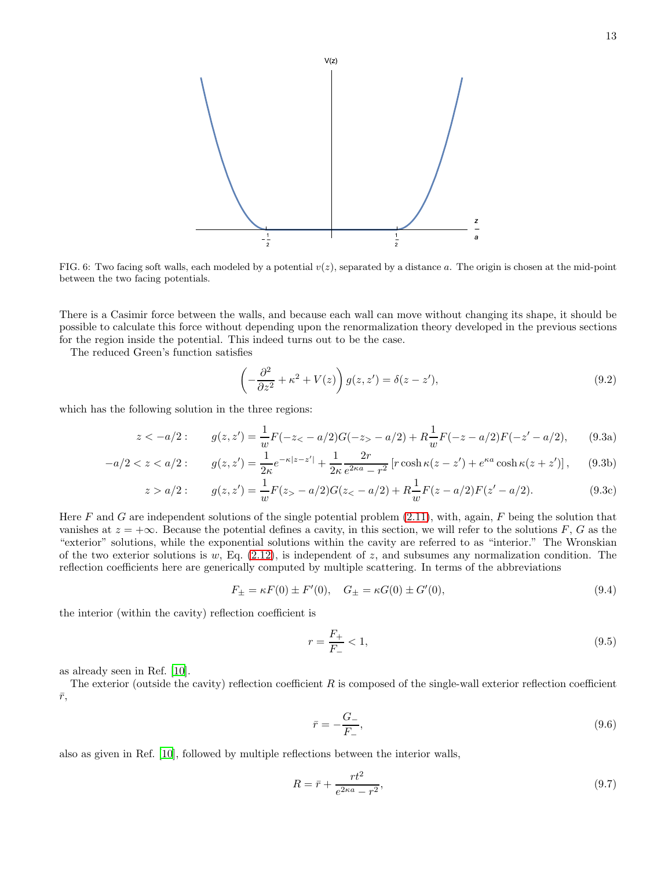

<span id="page-12-0"></span>FIG. 6: Two facing soft walls, each modeled by a potential  $v(z)$ , separated by a distance a. The origin is chosen at the mid-point between the two facing potentials.

There is a Casimir force between the walls, and because each wall can move without changing its shape, it should be possible to calculate this force without depending upon the renormalization theory developed in the previous sections for the region inside the potential. This indeed turns out to be the case.

The reduced Green's function satisfies

<span id="page-12-2"></span>
$$
\left(-\frac{\partial^2}{\partial z^2} + \kappa^2 + V(z)\right) g(z, z') = \delta(z - z'),\tag{9.2}
$$

which has the following solution in the three regions:

<span id="page-12-1"></span>
$$
z < -a/2: \qquad g(z, z') = \frac{1}{w} F(-z< -a/2) G(-z< -a/2) + R \frac{1}{w} F(-z - a/2) F(-z' - a/2), \qquad (9.3a)
$$

$$
-a/2 < z < a/2: \t g(z, z') = \frac{1}{2\kappa} e^{-\kappa|z - z'|} + \frac{1}{2\kappa} \frac{2r}{e^{2\kappa a} - r^2} \left[ r \cosh \kappa (z - z') + e^{\kappa a} \cosh \kappa (z + z') \right], \t (9.3b)
$$

$$
z > a/2: \qquad g(z, z') = \frac{1}{w} F(z_{>} - a/2) G(z_{<} - a/2) + R \frac{1}{w} F(z - a/2) F(z' - a/2). \tag{9.3c}
$$

Here F and G are independent solutions of the single potential problem  $(2.11)$ , with, again, F being the solution that vanishes at  $z = +\infty$ . Because the potential defines a cavity, in this section, we will refer to the solutions F, G as the "exterior" solutions, while the exponential solutions within the cavity are referred to as "interior." The Wronskian of the two exterior solutions is w, Eq.  $(2.12)$ , is independent of z, and subsumes any normalization condition. The reflection coefficients here are generically computed by multiple scattering. In terms of the abbreviations

<span id="page-12-3"></span>
$$
F_{\pm} = \kappa F(0) \pm F'(0), \quad G_{\pm} = \kappa G(0) \pm G'(0), \tag{9.4}
$$

the interior (within the cavity) reflection coefficient is

$$
r = \frac{F_+}{F_-} < 1,\tag{9.5}
$$

as already seen in Ref. [\[10](#page-18-8)].

The exterior (outside the cavity) reflection coefficient  $R$  is composed of the single-wall exterior reflection coefficient  $\bar{r},$ 

$$
\bar{r} = -\frac{G_{-}}{F_{-}},\tag{9.6}
$$

also as given in Ref. [\[10\]](#page-18-8), followed by multiple reflections between the interior walls,

$$
R = \bar{r} + \frac{rt^2}{e^{2\kappa a} - r^2},\tag{9.7}
$$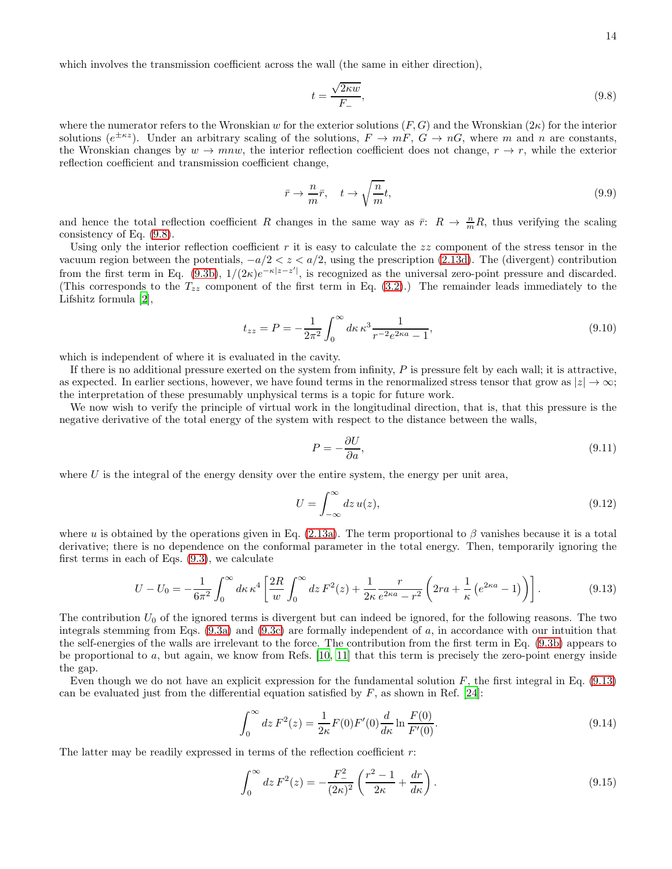which involves the transmission coefficient across the wall (the same in either direction),

<span id="page-13-0"></span>
$$
t = \frac{\sqrt{2\kappa w}}{F_{-}},\tag{9.8}
$$

where the numerator refers to the Wronskian w for the exterior solutions  $(F, G)$  and the Wronskian  $(2\kappa)$  for the interior solutions  $(e^{\pm \kappa z})$ . Under an arbitrary scaling of the solutions,  $F \to mF$ ,  $G \to nG$ , where m and n are constants, the Wronskian changes by  $w \to m n w$ , the interior reflection coefficient does not change,  $r \to r$ , while the exterior reflection coefficient and transmission coefficient change,

$$
\bar{r} \to \frac{n}{m}\bar{r}, \quad t \to \sqrt{\frac{n}{m}}t,\tag{9.9}
$$

and hence the total reflection coefficient R changes in the same way as  $\bar{r}: R \to \frac{n}{m}R$ , thus verifying the scaling consistency of Eq. [\(9.8\)](#page-13-0).

Using only the interior reflection coefficient  $r$  it is easy to calculate the  $zz$  component of the stress tensor in the vacuum region between the potentials,  $-a/2 < z < a/2$ , using the prescription [\(2.13d\)](#page-3-3). The (divergent) contribution from the first term in Eq. [\(9.3b\)](#page-12-1),  $1/(2\kappa)e^{-\kappa|z-z'|}$ , is recognized as the universal zero-point pressure and discarded. (This corresponds to the  $T_{zz}$  component of the first term in Eq. [\(3.2\)](#page-4-1).) The remainder leads immediately to the Lifshitz formula [\[2](#page-18-1)],

<span id="page-13-2"></span>
$$
t_{zz} = P = -\frac{1}{2\pi^2} \int_0^\infty d\kappa \,\kappa^3 \frac{1}{r^{-2} e^{2\kappa a} - 1},\tag{9.10}
$$

which is independent of where it is evaluated in the cavity.

If there is no additional pressure exerted on the system from infinity,  $P$  is pressure felt by each wall; it is attractive, as expected. In earlier sections, however, we have found terms in the renormalized stress tensor that grow as  $|z| \to \infty$ ; the interpretation of these presumably unphysical terms is a topic for future work.

We now wish to verify the principle of virtual work in the longitudinal direction, that is, that this pressure is the negative derivative of the total energy of the system with respect to the distance between the walls,

<span id="page-13-3"></span>
$$
P = -\frac{\partial U}{\partial a},\tag{9.11}
$$

where  $U$  is the integral of the energy density over the entire system, the energy per unit area,

$$
U = \int_{-\infty}^{\infty} dz \, u(z),\tag{9.12}
$$

where u is obtained by the operations given in Eq. [\(2.13a\)](#page-3-6). The term proportional to  $\beta$  vanishes because it is a total derivative; there is no dependence on the conformal parameter in the total energy. Then, temporarily ignoring the first terms in each of Eqs. [\(9.3\)](#page-12-2), we calculate

<span id="page-13-1"></span>
$$
U - U_0 = -\frac{1}{6\pi^2} \int_0^\infty d\kappa \,\kappa^4 \left[ \frac{2R}{w} \int_0^\infty dz \, F^2(z) + \frac{1}{2\kappa} \frac{r}{e^{2\kappa a} - r^2} \left( 2ra + \frac{1}{\kappa} \left( e^{2\kappa a} - 1 \right) \right) \right]. \tag{9.13}
$$

The contribution  $U_0$  of the ignored terms is divergent but can indeed be ignored, for the following reasons. The two integrals stemming from Eqs.  $(9.3a)$  and  $(9.3c)$  are formally independent of a, in accordance with our intuition that the self-energies of the walls are irrelevant to the force. The contribution from the first term in Eq. [\(9.3b\)](#page-12-1) appears to be proportional to  $a$ , but again, we know from Refs. [\[10,](#page-18-8) [11\]](#page-18-9) that this term is precisely the zero-point energy inside the gap.

Even though we do not have an explicit expression for the fundamental solution  $F$ , the first integral in Eq. [\(9.13\)](#page-13-1) can be evaluated just from the differential equation satisfied by  $F$ , as shown in Ref. [\[24\]](#page-19-0):

$$
\int_0^\infty dz \, F^2(z) = \frac{1}{2\kappa} F(0) F'(0) \frac{d}{d\kappa} \ln \frac{F(0)}{F'(0)}.
$$
\n(9.14)

The latter may be readily expressed in terms of the reflection coefficient  $r$ :

$$
\int_0^\infty dz \, F^2(z) = -\frac{F^2}{(2\kappa)^2} \left( \frac{r^2 - 1}{2\kappa} + \frac{dr}{d\kappa} \right). \tag{9.15}
$$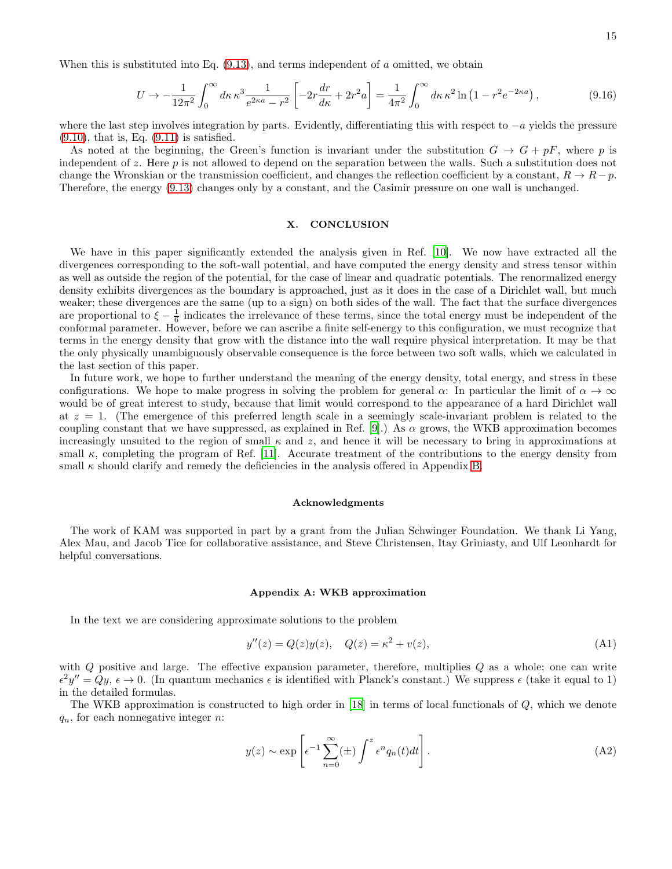When this is substituted into Eq.  $(9.13)$ , and terms independent of a omitted, we obtain

$$
U \to -\frac{1}{12\pi^2} \int_0^\infty d\kappa \,\kappa^3 \frac{1}{e^{2\kappa a} - r^2} \left[ -2r \frac{dr}{d\kappa} + 2r^2 a \right] = \frac{1}{4\pi^2} \int_0^\infty d\kappa \,\kappa^2 \ln\left(1 - r^2 e^{-2\kappa a}\right),\tag{9.16}
$$

where the last step involves integration by parts. Evidently, differentiating this with respect to  $-a$  yields the pressure  $(9.10)$ , that is, Eq.  $(9.11)$  is satisfied.

As noted at the beginning, the Green's function is invariant under the substitution  $G \to G + pF$ , where p is independent of z. Here  $p$  is not allowed to depend on the separation between the walls. Such a substitution does not change the Wronskian or the transmission coefficient, and changes the reflection coefficient by a constant,  $R \to R - p$ . Therefore, the energy [\(9.13\)](#page-13-1) changes only by a constant, and the Casimir pressure on one wall is unchanged.

## X. CONCLUSION

We have in this paper significantly extended the analysis given in Ref. [\[10\]](#page-18-8). We now have extracted all the divergences corresponding to the soft-wall potential, and have computed the energy density and stress tensor within as well as outside the region of the potential, for the case of linear and quadratic potentials. The renormalized energy density exhibits divergences as the boundary is approached, just as it does in the case of a Dirichlet wall, but much weaker; these divergences are the same (up to a sign) on both sides of the wall. The fact that the surface divergences are proportional to  $\xi - \frac{1}{6}$  indicates the irrelevance of these terms, since the total energy must be independent of the conformal parameter. However, before we can ascribe a finite self-energy to this configuration, we must recognize that terms in the energy density that grow with the distance into the wall require physical interpretation. It may be that the only physically unambiguously observable consequence is the force between two soft walls, which we calculated in the last section of this paper.

In future work, we hope to further understand the meaning of the energy density, total energy, and stress in these configurations. We hope to make progress in solving the problem for general  $\alpha$ : In particular the limit of  $\alpha \to \infty$ would be of great interest to study, because that limit would correspond to the appearance of a hard Dirichlet wall at  $z = 1$ . (The emergence of this preferred length scale in a seemingly scale-invariant problem is related to the coupling constant that we have suppressed, as explained in Ref. [\[9\]](#page-18-7).) As  $\alpha$  grows, the WKB approximation becomes increasingly unsuited to the region of small  $\kappa$  and  $z$ , and hence it will be necessary to bring in approximations at small  $\kappa$ , completing the program of Ref. [\[11\]](#page-18-9). Accurate treatment of the contributions to the energy density from small  $\kappa$  should clarify and remedy the deficiencies in the analysis offered in Appendix [B.](#page-15-0)

#### Acknowledgments

The work of KAM was supported in part by a grant from the Julian Schwinger Foundation. We thank Li Yang, Alex Mau, and Jacob Tice for collaborative assistance, and Steve Christensen, Itay Griniasty, and Ulf Leonhardt for helpful conversations.

## <span id="page-14-0"></span>Appendix A: WKB approximation

In the text we are considering approximate solutions to the problem

$$
y''(z) = Q(z)y(z), \quad Q(z) = \kappa^2 + v(z), \tag{A1}
$$

with Q positive and large. The effective expansion parameter, therefore, multiplies Q as a whole; one can write  $\epsilon^2 y'' = Qy, \epsilon \to 0.$  (In quantum mechanics  $\epsilon$  is identified with Planck's constant.) We suppress  $\epsilon$  (take it equal to 1) in the detailed formulas.

The WKB approximation is constructed to high order in [\[18\]](#page-18-15) in terms of local functionals of Q, which we denote  $q_n$ , for each nonnegative integer *n*:

$$
y(z) \sim \exp\left[\epsilon^{-1} \sum_{n=0}^{\infty} (\pm) \int^{z} \epsilon^{n} q_n(t) dt\right].
$$
 (A2)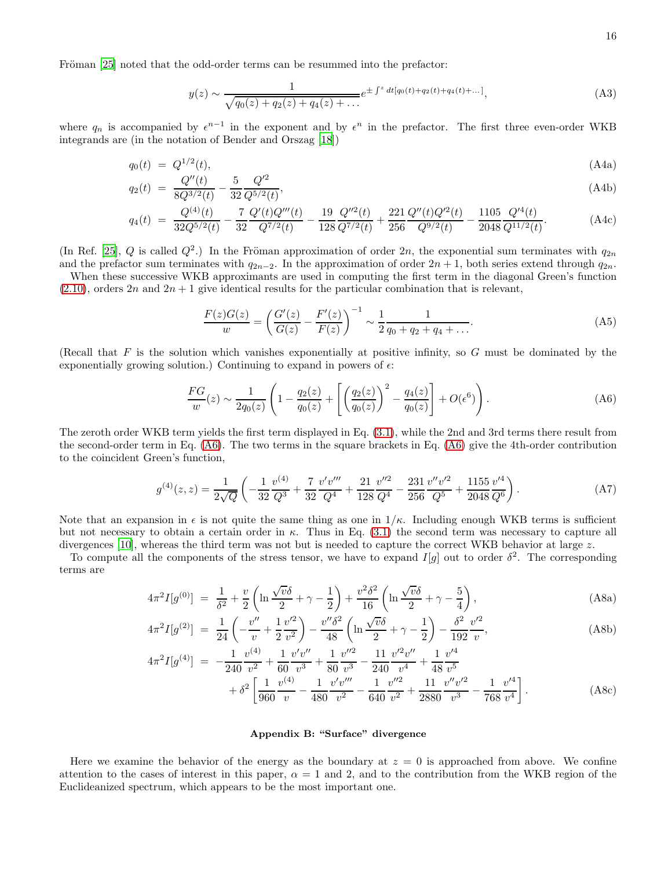Fröman [\[25\]](#page-19-1) noted that the odd-order terms can be resummed into the prefactor:

<span id="page-15-3"></span>
$$
y(z) \sim \frac{1}{\sqrt{q_0(z) + q_2(z) + q_4(z) + \dots}} e^{\pm \int^z dt [q_0(t) + q_2(t) + q_4(t) + \dots]},
$$
\n(A3)

where  $q_n$  is accompanied by  $\epsilon^{n-1}$  in the exponent and by  $\epsilon^n$  in the prefactor. The first three even-order WKB integrands are (in the notation of Bender and Orszag [\[18\]](#page-18-15))

<span id="page-15-4"></span>
$$
q_0(t) = Q^{1/2}(t), \tag{A4a}
$$

$$
q_2(t) = \frac{Q''(t)}{8Q^{3/2}(t)} - \frac{5}{32} \frac{Q'^2}{Q^{5/2}(t)},\tag{A4b}
$$

$$
q_4(t) = \frac{Q^{(4)}(t)}{32Q^{5/2}(t)} - \frac{7}{32} \frac{Q'(t)Q'''(t)}{Q^{7/2}(t)} - \frac{19}{128} \frac{Q''^2(t)}{Q^{7/2}(t)} + \frac{221}{256} \frac{Q''(t)Q'^2(t)}{Q^{9/2}(t)} - \frac{1105}{2048} \frac{Q'^4(t)}{Q^{11/2}(t)}.
$$
 (A4c)

(In Ref. [\[25\]](#page-19-1), Q is called  $Q^2$ .) In the Fröman approximation of order  $2n$ , the exponential sum terminates with  $q_{2n}$ and the prefactor sum terminates with  $q_{2n-2}$ . In the approximation of order  $2n + 1$ , both series extend through  $q_{2n}$ .

When these successive WKB approximants are used in computing the first term in the diagonal Green's function  $(2.10)$ , orders  $2n$  and  $2n + 1$  give identical results for the particular combination that is relevant,

$$
\frac{F(z)G(z)}{w} = \left(\frac{G'(z)}{G(z)} - \frac{F'(z)}{F(z)}\right)^{-1} \sim \frac{1}{2} \frac{1}{q_0 + q_2 + q_4 + \dots}.
$$
\n(A5)

(Recall that  $F$  is the solution which vanishes exponentially at positive infinity, so  $G$  must be dominated by the exponentially growing solution.) Continuing to expand in powers of  $\epsilon$ :

<span id="page-15-2"></span>
$$
\frac{FG}{w}(z) \sim \frac{1}{2q_0(z)} \left( 1 - \frac{q_2(z)}{q_0(z)} + \left[ \left( \frac{q_2(z)}{q_0(z)} \right)^2 - \frac{q_4(z)}{q_0(z)} \right] + O(\epsilon^6) \right). \tag{A6}
$$

The zeroth order WKB term yields the first term displayed in Eq. [\(3.1\)](#page-3-2), while the 2nd and 3rd terms there result from the second-order term in Eq. [\(A6\)](#page-15-2). The two terms in the square brackets in Eq. [\(A6\)](#page-15-2) give the 4th-order contribution to the coincident Green's function,

$$
g^{(4)}(z,z) = \frac{1}{2\sqrt{Q}} \left( -\frac{1}{32} \frac{v^{(4)}}{Q^3} + \frac{7}{32} \frac{v'v'''}{Q^4} + \frac{21}{128} \frac{v''^2}{Q^4} - \frac{231}{256} \frac{v''v'^2}{Q^5} + \frac{1155}{2048} \frac{v'^4}{Q^6} \right). \tag{A7}
$$

Note that an expansion in  $\epsilon$  is not quite the same thing as one in  $1/\kappa$ . Including enough WKB terms is sufficient but not necessary to obtain a certain order in  $\kappa$ . Thus in Eq. [\(3.1\)](#page-3-2) the second term was necessary to capture all divergences [\[10\]](#page-18-8), whereas the third term was not but is needed to capture the correct WKB behavior at large z.

To compute all the components of the stress tensor, we have to expand  $I[g]$  out to order  $\delta^2$ . The corresponding terms are

<span id="page-15-1"></span>
$$
4\pi^2 I[g^{(0)}] = \frac{1}{\delta^2} + \frac{v}{2} \left( \ln \frac{\sqrt{v} \delta}{2} + \gamma - \frac{1}{2} \right) + \frac{v^2 \delta^2}{16} \left( \ln \frac{\sqrt{v} \delta}{2} + \gamma - \frac{5}{4} \right), \tag{A8a}
$$

$$
4\pi^2 I[g^{(2)}] = \frac{1}{24} \left( -\frac{v''}{v} + \frac{1}{2} \frac{v'^2}{v^2} \right) - \frac{v'' \delta^2}{48} \left( \ln \frac{\sqrt{v} \delta}{2} + \gamma - \frac{1}{2} \right) - \frac{\delta^2}{192} \frac{v'^2}{v},\tag{A8b}
$$

$$
4\pi^{2}I[g^{(4)}] = -\frac{1}{240}\frac{v^{(4)}}{v^{2}} + \frac{1}{60}\frac{v'v''}{v^{3}} + \frac{1}{80}\frac{v''^{2}}{v^{3}} - \frac{11}{240}\frac{v'^{2}v''}{v^{4}} + \frac{1}{48}\frac{v'^{4}}{v^{5}} + \frac{1}{68}\frac{v'^{4}}{v^{5}} + \delta^{2}\left[\frac{1}{960}\frac{v^{(4)}}{v} - \frac{1}{480}\frac{v'v'''}{v^{2}} - \frac{1}{640}\frac{v''^{2}}{v^{2}} + \frac{11}{2880}\frac{v''v'^{2}}{v^{3}} - \frac{1}{768}\frac{v'^{4}}{v^{4}}\right].
$$
\n(A8c)

#### <span id="page-15-0"></span>Appendix B: "Surface" divergence

Here we examine the behavior of the energy as the boundary at  $z = 0$  is approached from above. We confine attention to the cases of interest in this paper,  $\alpha = 1$  and 2, and to the contribution from the WKB region of the Euclideanized spectrum, which appears to be the most important one.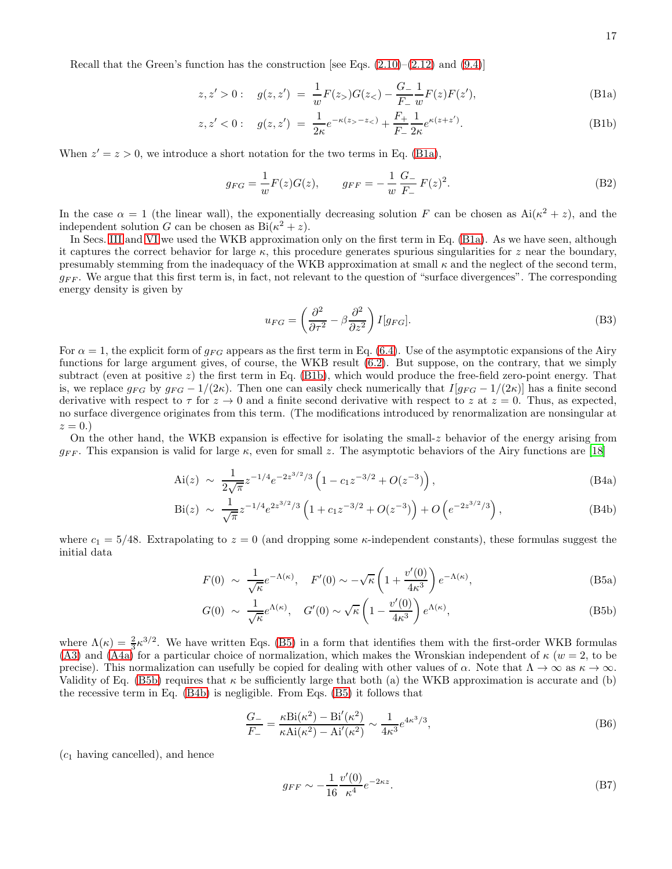Recall that the Green's function has the construction [see Eqs.  $(2.10)$ – $(2.12)$  and  $(9.4)$ ]

<span id="page-16-0"></span>
$$
z, z' > 0: \quad g(z, z') = \frac{1}{w} F(z) G(z) - \frac{G}{F_{-}} \frac{1}{w} F(z) F(z'), \tag{B1a}
$$

$$
z, z' < 0: \quad g(z, z') \ = \ \frac{1}{2\kappa} e^{-\kappa(z_>-z_<)} + \frac{F_+}{F_-} \frac{1}{2\kappa} e^{\kappa(z+z')}.\tag{B1b}
$$

When  $z' = z > 0$ , we introduce a short notation for the two terms in Eq. [\(B1a\)](#page-16-0),

<span id="page-16-5"></span>
$$
g_{FG} = \frac{1}{w} F(z) G(z), \qquad g_{FF} = -\frac{1}{w} \frac{G}{F_{-}} F(z)^{2}.
$$
 (B2)

In the case  $\alpha = 1$  (the linear wall), the exponentially decreasing solution F can be chosen as  $Ai(\kappa^2 + z)$ , and the independent solution G can be chosen as  $Bi(\kappa^2 + z)$ .

In Secs. [III](#page-3-0) and [VI](#page-7-0) we used the WKB approximation only on the first term in Eq. [\(B1a\)](#page-16-0). As we have seen, although it captures the correct behavior for large  $\kappa$ , this procedure generates spurious singularities for z near the boundary, presumably stemming from the inadequacy of the WKB approximation at small  $\kappa$  and the neglect of the second term,  $g_{FF}$ . We argue that this first term is, in fact, not relevant to the question of "surface divergences". The corresponding energy density is given by

$$
u_{FG} = \left(\frac{\partial^2}{\partial \tau^2} - \beta \frac{\partial^2}{\partial z^2}\right) I[g_{FG}].
$$
 (B3)

For  $\alpha = 1$ , the explicit form of  $g_{FG}$  appears as the first term in Eq. [\(6.4\)](#page-7-6). Use of the asymptotic expansions of the Airy functions for large argument gives, of course, the WKB result [\(6.2\)](#page-7-4). But suppose, on the contrary, that we simply subtract (even at positive  $z$ ) the first term in Eq. [\(B1b\)](#page-16-0), which would produce the free-field zero-point energy. That is, we replace  $g_{FG}$  by  $g_{FG} - 1/(2\kappa)$ . Then one can easily check numerically that  $I[g_{FG} - 1/(2\kappa)]$  has a finite second derivative with respect to  $\tau$  for  $z \to 0$  and a finite second derivative with respect to z at  $z = 0$ . Thus, as expected, no surface divergence originates from this term. (The modifications introduced by renormalization are nonsingular at  $z=0.$ 

On the other hand, the WKB expansion is effective for isolating the small-z behavior of the energy arising from  $g_{FF}$ . This expansion is valid for large  $\kappa$ , even for small z. The asymptotic behaviors of the Airy functions are [\[18\]](#page-18-15)

<span id="page-16-3"></span>
$$
\text{Ai}(z) \sim \frac{1}{2\sqrt{\pi}} z^{-1/4} e^{-2z^{3/2}/3} \left( 1 - c_1 z^{-3/2} + O(z^{-3}) \right),\tag{B4a}
$$

$$
\text{Bi}(z) \sim \frac{1}{\sqrt{\pi}} z^{-1/4} e^{2z^{3/2}/3} \left( 1 + c_1 z^{-3/2} + O(z^{-3}) \right) + O\left(e^{-2z^{3/2}/3}\right),\tag{B4b}
$$

<span id="page-16-1"></span>where  $c_1 = 5/48$ . Extrapolating to  $z = 0$  (and dropping some  $\kappa$ -independent constants), these formulas suggest the initial data

<span id="page-16-2"></span>
$$
F(0) \sim \frac{1}{\sqrt{\kappa}} e^{-\Lambda(\kappa)}, \quad F'(0) \sim -\sqrt{\kappa} \left( 1 + \frac{v'(0)}{4\kappa^3} \right) e^{-\Lambda(\kappa)}, \tag{B5a}
$$

$$
G(0) \sim \frac{1}{\sqrt{\kappa}} e^{\Lambda(\kappa)}, \quad G'(0) \sim \sqrt{\kappa} \left( 1 - \frac{v'(0)}{4\kappa^3} \right) e^{\Lambda(\kappa)}, \tag{B5b}
$$

where  $\Lambda(\kappa) = \frac{2}{3} \kappa^{3/2}$ . We have written Eqs. [\(B5\)](#page-16-1) in a form that identifies them with the first-order WKB formulas [\(A3\)](#page-15-3) and [\(A4a\)](#page-15-4) for a particular choice of normalization, which makes the Wronskian independent of  $\kappa$  ( $w = 2$ , to be precise). This normalization can usefully be copied for dealing with other values of  $\alpha$ . Note that  $\Lambda \to \infty$  as  $\kappa \to \infty$ . Validity of Eq. [\(B5b\)](#page-16-2) requires that  $\kappa$  be sufficiently large that both (a) the WKB approximation is accurate and (b) the recessive term in Eq. [\(B4b\)](#page-16-3) is negligible. From Eqs. [\(B5\)](#page-16-1) it follows that

<span id="page-16-6"></span>
$$
\frac{G_{-}}{F_{-}} = \frac{\kappa \text{Bi}(\kappa^2) - \text{Bi}'(\kappa^2)}{\kappa \text{Ai}(\kappa^2) - \text{Ai}'(\kappa^2)} \sim \frac{1}{4\kappa^3} e^{4\kappa^3/3},\tag{B6}
$$

 $(c_1$  having cancelled), and hence

<span id="page-16-4"></span>
$$
g_{FF} \sim -\frac{1}{16} \frac{v'(0)}{\kappa^4} e^{-2\kappa z}.
$$
 (B7)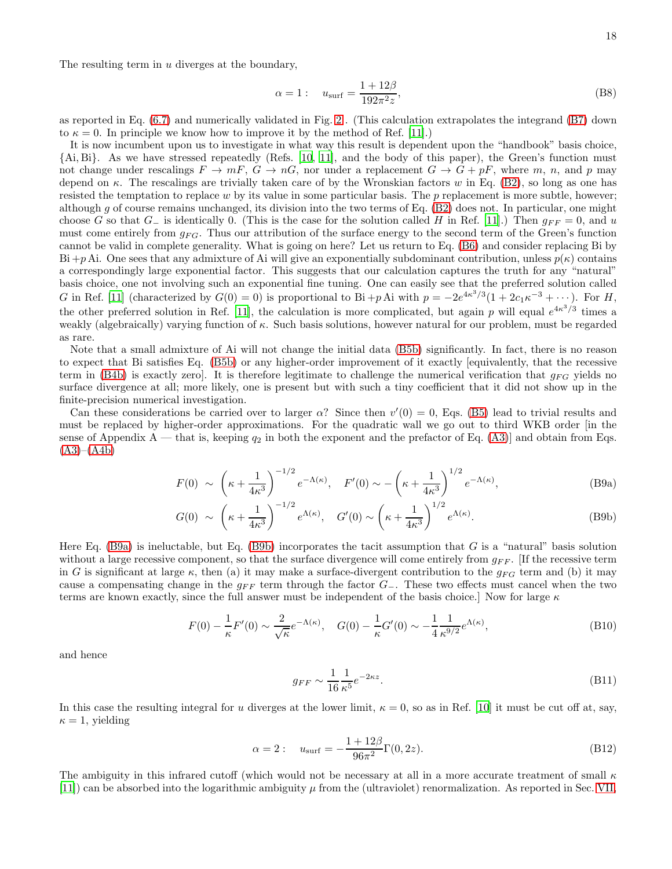The resulting term in  $u$  diverges at the boundary,

<span id="page-17-3"></span>
$$
\alpha = 1: \quad u_{\text{surf}} = \frac{1 + 12\beta}{192\pi^2 z},
$$
\n(B8)

as reported in Eq. [\(6.7\)](#page-8-1) and numerically validated in Fig. [2](#page-8-2) . (This calculation extrapolates the integrand [\(B7\)](#page-16-4) down to  $\kappa = 0$ . In principle we know how to improve it by the method of Ref. [\[11\]](#page-18-9).)

It is now incumbent upon us to investigate in what way this result is dependent upon the "handbook" basis choice, {Ai, Bi}. As we have stressed repeatedly (Refs. [\[10,](#page-18-8) [11\]](#page-18-9), and the body of this paper), the Green's function must not change under rescalings  $F \to mF$ ,  $G \to nG$ , nor under a replacement  $G \to G + pF$ , where m, n, and p may depend on  $\kappa$ . The rescalings are trivially taken care of by the Wronskian factors w in Eq. [\(B2\)](#page-16-5), so long as one has resisted the temptation to replace w by its value in some particular basis. The  $p$  replacement is more subtle, however; although q of course remains unchanged, its division into the two terms of Eq.  $(B2)$  does not. In particular, one might choose G so that  $G_-\,$  is identically 0. (This is the case for the solution called H in Ref. [\[11\]](#page-18-9).) Then  $q_{FF} = 0$ , and u must come entirely from  $g_{FG}$ . Thus our attribution of the surface energy to the second term of the Green's function cannot be valid in complete generality. What is going on here? Let us return to Eq. [\(B6\)](#page-16-6) and consider replacing Bi by  $Bi +p Ai$ . One sees that any admixture of Ai will give an exponentially subdominant contribution, unless  $p(\kappa)$  contains a correspondingly large exponential factor. This suggests that our calculation captures the truth for any "natural" basis choice, one not involving such an exponential fine tuning. One can easily see that the preferred solution called G in Ref. [\[11\]](#page-18-9) (characterized by  $G(0) = 0$ ) is proportional to Bi +p Ai with  $p = -2e^{4\kappa^3/3}(1 + 2c_1\kappa^{-3} + \cdots)$ . For H, the other preferred solution in Ref. [\[11\]](#page-18-9), the calculation is more complicated, but again p will equal  $e^{4\kappa^3/3}$  times a weakly (algebraically) varying function of κ. Such basis solutions, however natural for our problem, must be regarded as rare.

Note that a small admixture of Ai will not change the initial data [\(B5b\)](#page-16-2) significantly. In fact, there is no reason to expect that Bi satisfies Eq. [\(B5b\)](#page-16-2) or any higher-order improvement of it exactly [equivalently, that the recessive term in [\(B4b\)](#page-16-3) is exactly zero]. It is therefore legitimate to challenge the numerical verification that  $g_{FG}$  yields no surface divergence at all; more likely, one is present but with such a tiny coefficient that it did not show up in the finite-precision numerical investigation.

Can these considerations be carried over to larger  $\alpha$ ? Since then  $v'(0) = 0$ , Eqs. [\(B5\)](#page-16-1) lead to trivial results and must be replaced by higher-order approximations. For the quadratic wall we go out to third WKB order [in the sense of Appendix A — that is, keeping  $q_2$  in both the exponent and the prefactor of Eq. [\(A3\)](#page-15-3)] and obtain from Eqs.  $(A3)–(A4b)$  $(A3)–(A4b)$  $(A3)–(A4b)$ 

<span id="page-17-1"></span>
$$
F(0) \sim \left(\kappa + \frac{1}{4\kappa^3}\right)^{-1/2} e^{-\Lambda(\kappa)}, \quad F'(0) \sim -\left(\kappa + \frac{1}{4\kappa^3}\right)^{1/2} e^{-\Lambda(\kappa)},\tag{B9a}
$$

$$
G(0) \sim \left(\kappa + \frac{1}{4\kappa^3}\right)^{-1/2} e^{\Lambda(\kappa)}, \quad G'(0) \sim \left(\kappa + \frac{1}{4\kappa^3}\right)^{1/2} e^{\Lambda(\kappa)}.
$$
 (B9b)

Here Eq. [\(B9a\)](#page-17-1) is ineluctable, but Eq. [\(B9b\)](#page-17-1) incorporates the tacit assumption that G is a "natural" basis solution without a large recessive component, so that the surface divergence will come entirely from  $g_{FF}$ . [If the recessive term in G is significant at large  $\kappa$ , then (a) it may make a surface-divergent contribution to the  $g_{FG}$  term and (b) it may cause a compensating change in the  $g_{FF}$  term through the factor  $G_$ . These two effects must cancel when the two terms are known exactly, since the full answer must be independent of the basis choice.] Now for large  $\kappa$ 

$$
F(0) - \frac{1}{\kappa} F'(0) \sim \frac{2}{\sqrt{\kappa}} e^{-\Lambda(\kappa)}, \quad G(0) - \frac{1}{\kappa} G'(0) \sim -\frac{1}{4} \frac{1}{\kappa^{9/2}} e^{\Lambda(\kappa)}, \tag{B10}
$$

and hence

<span id="page-17-0"></span>
$$
g_{FF} \sim \frac{1}{16} \frac{1}{\kappa^5} e^{-2\kappa z}.\tag{B11}
$$

In this case the resulting integral for u diverges at the lower limit,  $\kappa = 0$ , so as in Ref. [\[10\]](#page-18-8) it must be cut off at, say,  $\kappa = 1$ , yielding

<span id="page-17-2"></span>
$$
\alpha = 2: \quad u_{\text{surf}} = -\frac{1 + 12\beta}{96\pi^2} \Gamma(0, 2z). \tag{B12}
$$

The ambiguity in this infrared cutoff (which would not be necessary at all in a more accurate treatment of small  $\kappa$ [\[11\]](#page-18-9)) can be absorbed into the logarithmic ambiguity  $\mu$  from the (ultraviolet) renormalization. As reported in Sec. [VII,](#page-9-0)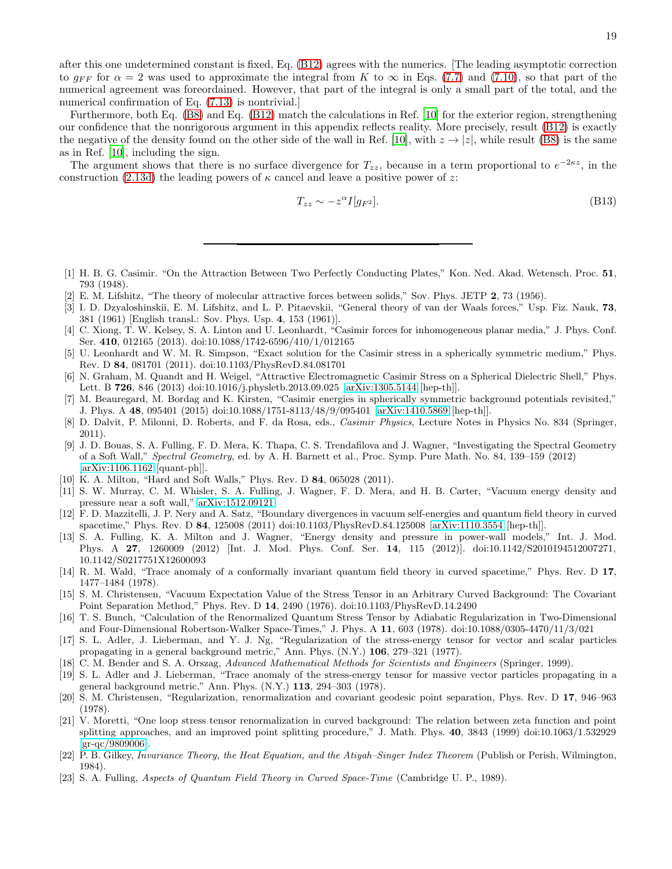Furthermore, both Eq. [\(B8\)](#page-17-3) and Eq. [\(B12\)](#page-17-2) match the calculations in Ref. [\[10\]](#page-18-8) for the exterior region, strengthening our confidence that the nonrigorous argument in this appendix reflects reality. More precisely, result [\(B12\)](#page-17-2) is exactly the negative of the density found on the other side of the wall in Ref. [\[10](#page-18-8)], with  $z \to |z|$ , while result [\(B8\)](#page-17-3) is the same as in Ref. [\[10\]](#page-18-8), including the sign.

The argument shows that there is no surface divergence for  $T_{zz}$ , because in a term proportional to  $e^{-2\kappa z}$ , in the construction [\(2.13d\)](#page-3-3) the leading powers of  $\kappa$  cancel and leave a positive power of z:

$$
T_{zz} \sim -z^{\alpha} I[g_{F^2}].
$$
\n(B13)

- <span id="page-18-0"></span>[1] H. B. G. Casimir. "On the Attraction Between Two Perfectly Conducting Plates," Kon. Ned. Akad. Wetensch. Proc. 51, 793 (1948).
- <span id="page-18-1"></span>[2] E. M. Lifshitz, "The theory of molecular attractive forces between solids," Sov. Phys. JETP 2, 73 (1956).
- <span id="page-18-2"></span>[3] I. D. Dzyaloshinskii, E. M. Lifshitz, and L. P. Pitaevskii, "General theory of van der Waals forces," Usp. Fiz. Nauk, 73, 381 (1961) [English transl.: Sov. Phys. Usp. 4, 153 (1961)].
- <span id="page-18-3"></span>[4] C. Xiong, T. W. Kelsey, S. A. Linton and U. Leonhardt, "Casimir forces for inhomogeneous planar media," J. Phys. Conf. Ser. 410, 012165 (2013). doi:10.1088/1742-6596/410/1/012165
- <span id="page-18-4"></span>[5] U. Leonhardt and W. M. R. Simpson, "Exact solution for the Casimir stress in a spherically symmetric medium," Phys. Rev. D 84, 081701 (2011). doi:10.1103/PhysRevD.84.081701
- [6] N. Graham, M. Quandt and H. Weigel, "Attractive Electromagnetic Casimir Stress on a Spherical Dielectric Shell," Phys. Lett. B 726, 846 (2013) doi:10.1016/j.physletb.2013.09.025 [\[arXiv:1305.5144](http://arxiv.org/abs/1305.5144) [hep-th]].
- <span id="page-18-5"></span>[7] M. Beauregard, M. Bordag and K. Kirsten, "Casimir energies in spherically symmetric background potentials revisited," J. Phys. A 48, 095401 (2015) doi:10.1088/1751-8113/48/9/095401 [\[arXiv:1410.5869](http://arxiv.org/abs/1410.5869) [hep-th]].
- <span id="page-18-6"></span>[8] D. Dalvit, P. Milonni, D. Roberts, and F. da Rosa, eds., Casimir Physics, Lecture Notes in Physics No. 834 (Springer, 2011).
- <span id="page-18-7"></span>[9] J. D. Bouas, S. A. Fulling, F. D. Mera, K. Thapa, C. S. Trendafilova and J. Wagner, "Investigating the Spectral Geometry of a Soft Wall," Spectral Geometry, ed. by A. H. Barnett et al., Proc. Symp. Pure Math. No. 84, 139–159 (2012) [\[arXiv:1106.1162](http://arxiv.org/abs/1106.1162) [quant-ph]].
- <span id="page-18-8"></span>[10] K. A. Milton, "Hard and Soft Walls," Phys. Rev. D **84**, 065028 (2011).
- <span id="page-18-9"></span>[11] S. W. Murray, C. M. Whisler, S. A. Fulling, J. Wagner, F. D. Mera, and H. B. Carter, "Vacuum energy density and pressure near a soft wall," [arXiv:1512.09121.](http://arxiv.org/abs/1512.09121)
- <span id="page-18-10"></span>[12] F. D. Mazzitelli, J. P. Nery and A. Satz, "Boundary divergences in vacuum self-energies and quantum field theory in curved spacetime," Phys. Rev. D 84, 125008 (2011) doi:10.1103/PhysRevD.84.125008 [\[arXiv:1110.3554](http://arxiv.org/abs/1110.3554) [hep-th]].
- <span id="page-18-11"></span>[13] S. A. Fulling, K. A. Milton and J. Wagner, "Energy density and pressure in power-wall models," Int. J. Mod. Phys. A 27, 1260009 (2012) [Int. J. Mod. Phys. Conf. Ser. 14, 115 (2012)]. doi:10.1142/S2010194512007271, 10.1142/S0217751X12600093
- <span id="page-18-12"></span>[14] R. M. Wald, "Trace anomaly of a conformally invariant quantum field theory in curved spacetime," Phys. Rev. D 17, 1477–1484 (1978).
- <span id="page-18-13"></span>[15] S. M. Christensen, "Vacuum Expectation Value of the Stress Tensor in an Arbitrary Curved Background: The Covariant Point Separation Method," Phys. Rev. D 14, 2490 (1976). doi:10.1103/PhysRevD.14.2490
- [16] T. S. Bunch, "Calculation of the Renormalized Quantum Stress Tensor by Adiabatic Regularization in Two-Dimensional and Four-Dimensional Robertson-Walker Space-Times," J. Phys. A 11, 603 (1978). doi:10.1088/0305-4470/11/3/021
- <span id="page-18-14"></span>[17] S. L. Adler, J. Lieberman, and Y. J. Ng, "Regularization of the stress-energy tensor for vector and scalar particles propagating in a general background metric," Ann. Phys. (N.Y.) 106, 279–321 (1977).
- <span id="page-18-15"></span>[18] C. M. Bender and S. A. Orszag, Advanced Mathematical Methods for Scientists and Engineers (Springer, 1999).
- <span id="page-18-16"></span>[19] S. L. Adler and J. Lieberman, "Trace anomaly of the stress-energy tensor for massive vector particles propagating in a general background metric," Ann. Phys. (N.Y.) 113, 294–303 (1978).
- <span id="page-18-17"></span>[20] S. M. Christensen, "Regularization, renormalization and covariant geodesic point separation, Phys. Rev. D 17, 946–963 (1978).
- <span id="page-18-18"></span>[21] V. Moretti, "One loop stress tensor renormalization in curved background: The relation between zeta function and point splitting approaches, and an improved point splitting procedure," J. Math. Phys. 40, 3843 (1999) doi:10.1063/1.532929  $[\text{gr-qc}/9809006]$ .
- <span id="page-18-19"></span>[22] P. B. Gilkey, Invariance Theory, the Heat Equation, and the Atiyah–Singer Index Theorem (Publish or Perish, Wilmington, 1984).
- <span id="page-18-20"></span>[23] S. A. Fulling, Aspects of Quantum Field Theory in Curved Space-Time (Cambridge U. P., 1989).